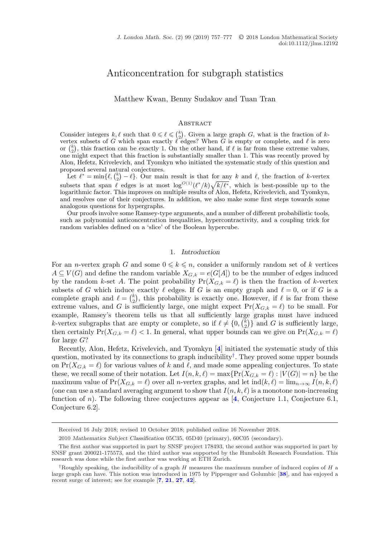# Anticoncentration for subgraph statistics

Matthew Kwan, Benny Sudakov and Tuan Tran

#### **ABSTRACT**

Consider integers  $k, \ell$  such that  $0 \leq \ell \leq {k \choose 2}$ . Given a large graph G, what is the fraction of kvertex subsets of G which span exactly  $\ell$  edges? When G is empty or complete, and  $\ell$  is zero or  $\binom{k}{2}$ , this fraction can be exactly 1. On the other hand, if  $\ell$  is far from these extreme values, one might expect that this fraction is substantially smaller than 1. This was recently proved by Alon, Hefetz, Krivelevich, and Tyomkyn who initiated the systematic study of this question and proposed several natural conjectures.

Let  $\ell^* = \min\{\ell, \binom{k}{2} - \ell\}$ . Our main result is that for any k and  $\ell$ , the fraction of k-vertex subsets that span  $\ell$  edges is at most  $\log^{O(1)}(\ell^*/k)\sqrt{k/\ell^*}$ , which is best-possible up to the logarithmic factor. This improves on multiple results of Alon, Hefetz, Krivelevich, and Tyomkyn, and resolves one of their conjectures. In addition, we also make some first steps towards some analogous questions for hypergraphs.

Our proofs involve some Ramsey-type arguments, and a number of different probabilistic tools, such as polynomial anticoncentration inequalities, hypercontractivity, and a coupling trick for random variables defined on a 'slice' of the Boolean hypercube.

# 1. *Introduction*

For an *n*-vertex graph G and some  $0 \leq k \leq n$ , consider a uniformly random set of k vertices  $A \subseteq V(G)$  and define the random variable  $X_{G,k} = e(G[A])$  to be the number of edges induced by the random k-set A. The point probability  $Pr(X_{G,k} = \ell)$  is then the fraction of k-vertex subsets of G which induce exactly  $\ell$  edges. If G is an empty graph and  $\ell = 0$ , or if G is a complete graph and  $\ell = \binom{k}{2}$  $\binom{k}{2}$ , this probability is exactly one. However, if  $\ell$  is far from these extreme values, and G is sufficiently large, one might expect  $Pr(X_{G,k} = \ell)$  to be small. For example, Ramsey's theorem tells us that all sufficiently large graphs must have induced k-vertex subgraphs that are empty or complete, so if  $\ell \neq \{0, \ell \}$  $\binom{k}{2}$  and G is sufficiently large, then certainly  $Pr(X_{G,k} = \ell) < 1$ . In general, what upper bounds can we give on  $Pr(X_{G,k} = \ell)$ for large G?

Recently, Alon, Hefetz, Krivelevich, and Tyomkyn [**[4](#page-19-0)**] initiated the systematic study of this question, motivated by its connections to graph inducibility<sup>†</sup>. They proved some upper bounds on  $Pr(X_{G,k} = \ell)$  for various values of k and  $\ell$ , and made some appealing conjectures. To state these, we recall some of their notation. Let  $I(n, k, \ell) = \max\{\Pr(X_{G,k} = \ell) : |V(G)| = n\}$  be the maximum value of  $Pr(X_{G,k} = \ell)$  over all *n*-vertex graphs, and let  $ind(k, \ell) = \lim_{n \to \infty} I(n, k, \ell)$ (one can use a standard averaging argument to show that  $I(n, k, \ell)$  is a monotone non-increasing function of n). The following three conjectures appear as  $\left[4, \text{Conjecture } 1.1, \text{Conjecture } 6.1, \right]$  $\left[4, \text{Conjecture } 1.1, \text{Conjecture } 6.1, \right]$  $\left[4, \text{Conjecture } 1.1, \text{Conjecture } 6.1, \right]$ Conjecture 6.2].

Received 16 July 2018; revised 10 October 2018; published online 16 November 2018.

<sup>2010</sup> *Mathematics Subject Classification* 05C35, 05D40 (primary), 60C05 (secondary).

The first author was supported in part by SNSF project 178493, the second author was supported in part by SNSF grant 200021-175573, and the third author was supported by the Humboldt Research Foundation. This research was done while the first author was working at ETH Zurich.

<sup>†</sup>Roughly speaking, the *inducibility* of a graph H measures the maximum number of induced copies of H a large graph can have. This notion was introduced in 1975 by Pippenger and Golumbic [**[38](#page-20-0)**], and has enjoyed a recent surge of interest; see for example [**[7](#page-19-0)**, **[21](#page-20-0)**, **[27](#page-20-0)**, **[42](#page-20-0)**].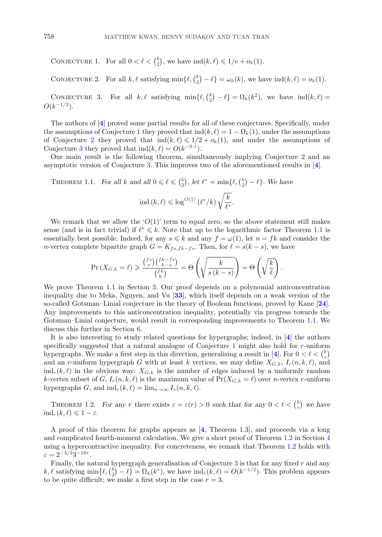<span id="page-1-0"></span>CONJECTURE 1. For all  $0 < \ell < {\binom{k}{2}}$  $_{2}^{k}$ , we have  $\text{ind}(k, \ell) \leq 1/e + o_k(1)$ .

CONJECTURE 2. For all  $k, \ell$  satisfying min $\{\ell, \binom{k}{2}\}$  $\binom{k}{2} - \ell$  =  $\omega_k(k)$ , we have  $\text{ind}(k, \ell) = o_k(1)$ .

CONJECTURE 3. For all  $k, \ell$  satisfying min{ $\ell, {\ell \choose 2}$  $\binom{k}{2} - \ell$  =  $\Omega_k(k^2)$ , we have  $\text{ind}(k, \ell) =$  $O(k^{-1/2})$ .

The authors of [**[4](#page-19-0)**] proved some partial results for all of these conjectures. Specifically, under the assumptions of Conjecture 1 they proved that  $\text{ind}(k, \ell) = 1 - \Omega_k(1)$ , under the assumptions of Conjecture 2 they proved that  $\text{ind}(k, \ell) \leq 1/2 + o_k(1)$ , and under the assumptions of Conjecture 3 they proved that  $\text{ind}(k, \ell) = O(k^{-0.1}).$ 

Our main result is the following theorem, simultaneously implying Conjecture 2 and an asymptotic version of Conjecture 3. This improves two of the aforementioned results in [**[4](#page-19-0)**].

THEOREM 1.1. *For all* k and all  $0 \leq \ell \leq \binom{k}{2}$  $\binom{k}{2}$ , let  $\ell^* = \min\{\ell, \binom{k}{2}$  $\binom{k}{2} - \ell$ . We have

$$
{\rm ind}\,(k,\ell)\leqslant\log^{O(1)}\left(\ell^*/k\right)\sqrt{\frac{k}{\ell^*}}.
$$

We remark that we allow the ' $O(1)$ ' term to equal zero, so the above statement still makes sense (and is in fact trivial) if  $\ell^* \leq k$ . Note that up to the logarithmic factor Theorem 1.1 is essentially best possible. Indeed, for any  $s \leq k$  and any  $f = \omega(1)$ , let  $n = fk$  and consider the *n*-vertex complete bipartite graph  $G = K_{fs,fk-fs}$ . Then, for  $\ell = s(k-s)$ , we have

$$
\Pr(X_{G,k} = \ell) \geqslant \frac{\binom{fs}{s}\binom{fk - fs}{k - s}}{\binom{fk}{k}} = \Theta\left(\sqrt{\frac{k}{s\left(k - s\right)}}\right) = \Theta\left(\sqrt{\frac{k}{\ell}}\right).
$$

We prove Theorem 1.1 in Section [3.](#page-8-0) Our proof depends on a polynomial anticoncentration inequality due to Meka, Nguyen, and Vu [**[33](#page-20-0)**], which itself depends on a weak version of the so-called Gotsman–Linial conjecture in the theory of Boolean functions, proved by Kane [**[24](#page-20-0)**]. Any improvements to this anticoncentration inequality, potentially via progress towards the Gotsman–Linial conjecture, would result in corresponding improvements to Theorem 1.1. We discuss this further in Section [6.](#page-15-0)

It is also interesting to study related questions for hypergraphs; indeed, in [**[4](#page-19-0)**] the authors specifically suggested that a natural analogue of Conjecture 1 might also hold for r-uniform hypergraphs. We make a first step in this direction, generalising a result in [[4](#page-19-0)]. For  $0 < \ell < {k \choose r}$ and an r-uniform hypergraph G with at least k vertices, we may define  $X_{G,k}$ ,  $I_r(n, k, \ell)$ , and  $ind_r(k, \ell)$  in the obvious way:  $X_{G,k}$  is the number of edges induced by a uniformly random k-vertex subset of G,  $I_r(n, k, \ell)$  is the maximum value of  $Pr(X_{G,k} = \ell)$  over n-vertex r-uniform hypergraphs G, and  $\text{ind}_r(k, \ell) = \lim_{n \to \infty} I_r(n, k, \ell)$ .

THEOREM 1.2. *For any r* there exists  $\varepsilon = \varepsilon(r) > 0$  such that for any  $0 < \ell < {k \choose r}$  we have  $\mathrm{ind}_r(k,\ell) \leqslant 1-\varepsilon.$ 

A proof of this theorem for graphs appears as [**[4](#page-19-0)**, Theorem 1.3], and proceeds via a long and complicated fourth-moment calculation. We give a short proof of Theorem 1.2 in Section [4](#page-11-0) using a hypercontractive inequality. For concreteness, we remark that Theorem 1.2 holds with  $\varepsilon = 2^{-4/3}3^{-16r}$ .

Finally, the natural hypergraph generalisation of Conjecture  $3$  is that for any fixed  $r$  and any  $k, \ell$  satisfying min $\{\ell, \binom{k}{2}\}$  $\binom{k}{2} - \ell$  =  $\Omega_k(k^r)$ , we have  $\text{ind}_r(k,\ell) = O(k^{-1/2})$ . This problem appears to be quite difficult; we make a first step in the case  $r = 3$ .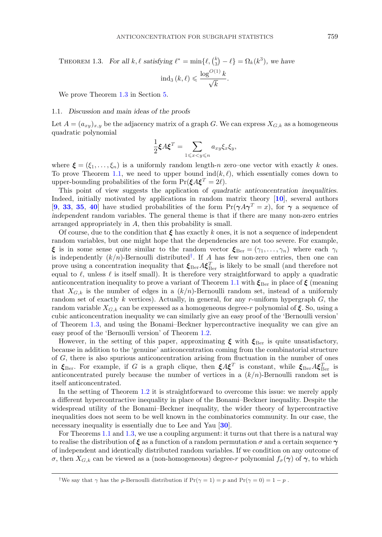<span id="page-2-0"></span>THEOREM 1.3. For all k,  $\ell$  satisfying  $\ell^* = \min{\ell, \binom{k}{3}}$  $\binom{k}{3} - \ell$  =  $\Omega_k(k^3)$ , we have

$$
ind_3(k,\ell) \leqslant \frac{\log^{O(1)} k}{\sqrt{k}}.
$$

We prove Theorem 1.3 in Section [5.](#page-12-0)

# 1.1. *Discussion and main ideas of the proofs*

Let  $A = (a_{xy})_{x,y}$  be the adjacency matrix of a graph G. We can express  $X_{G,k}$  as a homogeneous quadratic polynomial

$$
\frac{1}{2}\xi A \xi^T = \sum_{1 \leqslant x < y \leqslant n} a_{xy} \xi_x \xi_y,
$$

where  $\boldsymbol{\xi} = (\xi_1, \dots, \xi_n)$  is a uniformly random length-n zero–one vector with exactly k ones. To prove Theorem [1.1,](#page-1-0) we need to upper bound  $ind(k, \ell)$ , which essentially comes down to upper-bounding probabilities of the form  $\Pr(\xi A \xi^T = 2\ell)$ .

This point of view suggests the application of *quadratic anticoncentration inequalities*. Indeed, initially motivated by applications in random matrix theory [**[10](#page-19-0)**], several authors [**[9](#page-19-0)**, **[33](#page-20-0)**, **[35](#page-20-0)**, **[40](#page-20-0)**] have studied probabilities of the form  $\Pr(\gamma A \gamma^T = x)$ , for  $\gamma$  a sequence of *independent* random variables. The general theme is that if there are many non-zero entries arranged appropriately in A, then this probability is small.

Of course, due to the condition that *ξ* has exactly k ones, it is not a sequence of independent random variables, but one might hope that the dependencies are not too severe. For example, *ξ* is in some sense quite similar to the random vector  $\zeta_{\text{Ber}} = (\gamma_1, \dots, \gamma_n)$  where each  $\gamma_i$ is independently  $(k/n)$ -Bernoulli distributed<sup>†</sup>. If A has few non-zero entries, then one can prove using a concentration inequality that  $\xi_{\text{Ber}} A \xi_{\text{Ber}}^T$  is likely to be small (and therefore not equal to  $\ell$ , unless  $\ell$  is itself small). It is therefore very straightforward to apply a quadratic anticoncentration inequality to prove a variant of Theorem [1.1](#page-1-0) with  $\zeta_{\text{Ber}}$  in place of  $\zeta$  (meaning that  $X_{G,k}$  is the number of edges in a  $(k/n)$ -Bernoulli random set, instead of a uniformly random set of exactly  $k$  vertices). Actually, in general, for any r-uniform hypergraph  $G$ , the random variable  $X_{G,k}$  can be expressed as a homogeneous degree-r polynomial of  $\xi$ . So, using a cubic anticoncentration inequality we can similarly give an easy proof of the 'Bernoulli version' of Theorem 1.3, and using the Bonami–Beckner hypercontractive inequality we can give an easy proof of the 'Bernoulli version' of Theorem [1.2.](#page-1-0)

However, in the setting of this paper, approximating  $\xi$  with  $\xi_{\text{Ber}}$  is quite unsatisfactory, because in addition to the 'genuine' anticoncentration coming from the combinatorial structure of G, there is also spurious anticoncentration arising from fluctuation in the number of ones in  $\xi_{\text{Ber}}$ . For example, if G is a graph clique, then  $\xi A \xi^T$  is constant, while  $\xi_{\text{Ber}} A \xi_{\text{Ber}}^T$  is anticoncentrated purely because the number of vertices in a  $(k/n)$ -Bernoulli random set is itself anticoncentrated.

In the setting of Theorem [1.2](#page-1-0) it is straightforward to overcome this issue: we merely apply a different hypercontractive inequality in place of the Bonami–Beckner inequality. Despite the widespread utility of the Bonami–Beckner inequality, the wider theory of hypercontractive inequalities does not seem to be well known in the combinatorics community. In our case, the necessary inequality is essentially due to Lee and Yau [**[30](#page-20-0)**].

For Theorems [1.1](#page-1-0) and 1.3, we use a coupling argument: it turns out that there is a natural way to realise the distribution of *ξ* as a function of a random permutation σ and a certain sequence *γ* of independent and identically distributed random variables. If we condition on any outcome of σ, then  $X_{G,k}$  can be viewed as a (non-homogeneous) degree-r polynomial  $f_{\sigma}(\gamma)$  of  $\gamma$ , to which

<sup>&</sup>lt;sup>†</sup>We say that  $\gamma$  has the *p*-Bernoulli distribution if  $Pr(\gamma = 1) = p$  and  $Pr(\gamma = 0) = 1 - p$ .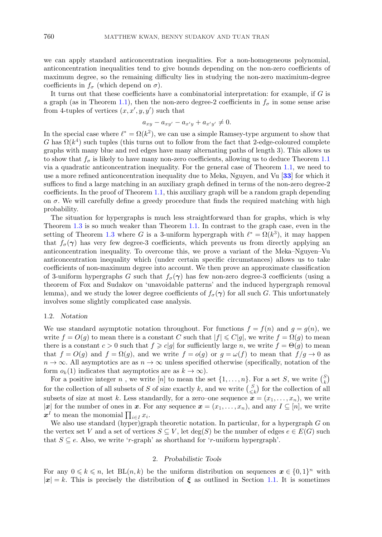we can apply standard anticoncentration inequalities. For a non-homogeneous polynomial, anticoncentration inequalities tend to give bounds depending on the non-zero coefficients of maximum degree, so the remaining difficulty lies in studying the non-zero maximium-degree coefficients in  $f_{\sigma}$  (which depend on  $\sigma$ ).

It turns out that these coefficients have a combinatorial interpretation: for example, if  $G$  is a graph (as in Theorem [1.1\)](#page-1-0), then the non-zero degree-2 coefficients in  $f_{\sigma}$  in some sense arise from 4-tuples of vertices  $(x, x', y, y')$  such that

$$
a_{xy} - a_{xy'} - a_{x'y} + a_{x'y'} \neq 0.
$$

In the special case where  $\ell^* = \Omega(k^2)$ , we can use a simple Ramsey-type argument to show that G has  $\Omega(k^4)$  such tuples (this turns out to follow from the fact that 2-edge-coloured complete graphs with many blue and red edges have many alternating paths of length 3). This allows us to show that  $f_{\sigma}$  is likely to have many non-zero coefficients, allowing us to deduce Theorem [1.1](#page-1-0) via a quadratic anticoncentration inequality. For the general case of Theorem [1.1,](#page-1-0) we need to use a more refined anticoncentration inequality due to Meka, Nguyen, and Vu [**[33](#page-20-0)**] for which it suffices to find a large matching in an auxiliary graph defined in terms of the non-zero degree-2 coefficients. In the proof of Theorem [1.1,](#page-1-0) this auxiliary graph will be a random graph depending on  $\sigma$ . We will carefully define a greedy procedure that finds the required matching with high probability.

The situation for hypergraphs is much less straightforward than for graphs, which is why Theorem [1.3](#page-2-0) is so much weaker than Theorem [1.1.](#page-1-0) In contrast to the graph case, even in the setting of Theorem [1.3](#page-2-0) where G is a 3-uniform hypergraph with  $\ell^* = \Omega(k^3)$ , it may happen that  $f_{\sigma}(\gamma)$  has very few degree-3 coefficients, which prevents us from directly applying an anticoncentration inequality. To overcome this, we prove a variant of the Meka–Nguyen–Vu anticoncentration inequality which (under certain specific circumstances) allows us to take coefficients of non-maximum degree into account. We then prove an approximate classification of 3-uniform hypergraphs G such that  $f_{\sigma}(\gamma)$  has few non-zero degree-3 coefficients (using a theorem of Fox and Sudakov on 'unavoidable patterns' and the induced hypergraph removal lemma), and we study the lower degree coefficients of  $f_{\sigma}(\gamma)$  for all such G. This unfortunately involves some slightly complicated case analysis.

#### 1.2. *Notation*

We use standard asymptotic notation throughout. For functions  $f = f(n)$  and  $g = g(n)$ , we write  $f = O(g)$  to mean there is a constant C such that  $|f| \leq C|g|$ , we write  $f = \Omega(g)$  to mean there is a constant  $c > 0$  such that  $f \geq c|g|$  for sufficiently large n, we write  $f = \Theta(g)$  to mean that  $f = O(g)$  and  $f = \Omega(g)$ , and we write  $f = o(g)$  or  $g = \omega(f)$  to mean that  $f/g \to 0$  as  $n \to \infty$ . All asymptotics are as  $n \to \infty$  unless specified otherwise (specifically, notation of the form  $o_k(1)$  indicates that asymptotics are as  $k \to \infty$ ).

For a positive integer n, we write [n] to mean the set  $\{1,\ldots,n\}$ . For a set S, we write  $\binom{S}{k}$ for the collection of all subsets of S of size exactly k, and we write  $\binom{S}{\leq}$  $\binom{S}{\leq k}$  for the collection of all subsets of size at most k. Less standardly, for a zero–one sequence  $\mathbf{x} = (x_1, \ldots, x_n)$ , we write |*x*| for the number of ones in *x*. For any sequence  $x = (x_1, \ldots, x_n)$ , and any  $I \subseteq [n]$ , we write  $x^I$  to mean the monomial  $\prod_{i\in I} x_i$ .

We also use standard (hyper)graph theoretic notation. In particular, for a hypergraph  $G$  on the vertex set V and a set of vertices  $S \subseteq V$ , let  $\deg(S)$  be the number of edges  $e \in E(G)$  such that  $S \subseteq e$ . Also, we write 'r-graph' as shorthand for 'r-uniform hypergraph'.

# 2. *Probabilistic Tools*

For any  $0 \leq k \leq n$ , let  $BL(n, k)$  be the uniform distribution on sequences  $\boldsymbol{x} \in \{0, 1\}^n$  with  $|\mathbf{x}| = k$ . This is precisely the distribution of  $\xi$  as outlined in Section [1.1.](#page-2-0) It is sometimes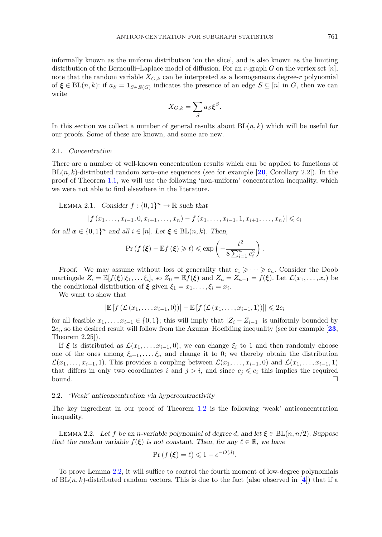<span id="page-4-0"></span>informally known as the uniform distribution 'on the slice', and is also known as the limiting distribution of the Bernoulli–Laplace model of diffusion. For an r-graph G on the vertex set  $[n]$ , note that the random variable  $X_{G,k}$  can be interpreted as a homogeneous degree-r polynomial of  $\xi \in BL(n, k)$ : if  $a_S = \mathbf{1}_{S \in E(G)}$  indicates the presence of an edge  $S \subseteq [n]$  in G, then we can write

$$
X_{G,k} = \sum_{S} a_S \boldsymbol{\xi}^S.
$$

In this section we collect a number of general results about  $BL(n, k)$  which will be useful for our proofs. Some of these are known, and some are new.

#### 2.1. *Concentration*

There are a number of well-known concentration results which can be applied to functions of BL(n, k)-distributed random zero–one sequences (see for example [**[20](#page-20-0)**, Corollary 2.2]). In the proof of Theorem [1.1,](#page-1-0) we will use the following 'non-uniform' concentration inequality, which we were not able to find elsewhere in the literature.

LEMMA 2.1. *Consider*  $f : \{0, 1\}^n \to \mathbb{R}$  *such that* 

$$
|f(x_1,\ldots,x_{i-1},0,x_{i+1},\ldots,x_n)-f(x_1,\ldots,x_{i-1},1,x_{i+1},\ldots,x_n)|\leqslant c_i
$$

*for all*  $x \in \{0, 1\}^n$  *and all*  $i \in [n]$ *. Let*  $\xi \in BL(n, k)$ *. Then,* 

$$
\Pr\left(f\left(\boldsymbol{\xi}\right) - \mathbb{E}f\left(\boldsymbol{\xi}\right) \geqslant t\right) \leqslant \exp\left(-\frac{t^2}{8\sum_{i=1}^n c_i^2}\right).
$$

*Proof.* We may assume without loss of generality that  $c_1 \geqslant \cdots \geqslant c_n$ . Consider the Doob martingale  $Z_i = \mathbb{E}[f(\boldsymbol{\xi})|\xi_1,\ldots\xi_i]$ , so  $Z_0 = \mathbb{E}f(\boldsymbol{\xi})$  and  $Z_n = Z_{n-1} = f(\boldsymbol{\xi})$ . Let  $\mathcal{L}(x_1,\ldots,x_i)$  be the conditional distribution of  $\xi$  given  $\xi_1 = x_1, \ldots, \xi_i = x_i$ .

We want to show that

$$
\left|\mathbb{E}\left[f\left(\mathcal{L}\left(x_1,\ldots,x_{i-1},0\right)\right)\right]-\mathbb{E}\left[f\left(\mathcal{L}\left(x_1,\ldots,x_{i-1},1\right)\right)\right]\right|\leqslant 2c_i
$$

for all feasible  $x_1, \ldots, x_{i-1} \in \{0,1\}$ ; this will imply that  $|Z_i - Z_{i-1}|$  is uniformly bounded by  $2c_i$ , so the desired result will follow from the Azuma–Hoeffding inequality (see for example  $[23,$  $[23,$  $[23,$ Theorem 2.25]).

If  $\xi$  is distributed as  $\mathcal{L}(x_1,\ldots,x_{i-1},0)$ , we can change  $\xi_i$  to 1 and then randomly choose one of the ones among  $\xi_{i+1},\ldots,\xi_n$  and change it to 0; we thereby obtain the distribution  $\mathcal{L}(x_1,\ldots,x_{i-1},1)$ . This provides a coupling between  $\mathcal{L}(x_1,\ldots,x_{i-1},0)$  and  $\mathcal{L}(x_1,\ldots,x_{i-1},1)$ that differs in only two coordinates i and  $j>i$ , and since  $c_j \leqslant c_i$  this implies the required bound.  $\square$ 

# 2.2. *'Weak' anticoncentration via hypercontractivity*

The key ingredient in our proof of Theorem [1.2](#page-1-0) is the following 'weak' anticoncentration inequality.

LEMMA 2.2. Let f be an *n*-variable polynomial of degree d, and let  $\xi \in BL(n, n/2)$ . Suppose *that the random variable*  $f(\xi)$  *is not constant. Then, for any*  $\ell \in \mathbb{R}$ *, we have* 

$$
\Pr\left(f\left(\boldsymbol{\xi}\right) = \ell\right) \leqslant 1 - e^{-O(d)}.
$$

To prove Lemma 2.2, it will suffice to control the fourth moment of low-degree polynomials of  $BL(n, k)$ -distributed random vectors. This is due to the fact (also observed in [[4](#page-19-0)]) that if a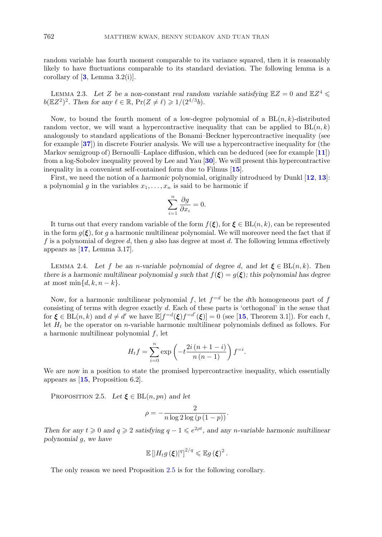<span id="page-5-0"></span>random variable has fourth moment comparable to its variance squared, then it is reasonably likely to have fluctuations comparable to its standard deviation. The following lemma is a corollary of  $[3, \text{Lemma } 3.2(i)].$  $[3, \text{Lemma } 3.2(i)].$  $[3, \text{Lemma } 3.2(i)].$ 

LEMMA 2.3. Let Z be a non-constant real random variable satisfying  $\mathbb{E}Z = 0$  and  $\mathbb{E}Z^4 \leq$  $b(\mathbb{E}Z^2)^2$ . Then for any  $\ell \in \mathbb{R}$ ,  $\Pr(Z \neq \ell) \geq 1/(2^{4/3}b)$ .

Now, to bound the fourth moment of a low-degree polynomial of a  $BL(n, k)$ -distributed random vector, we will want a hypercontractive inequality that can be applied to  $BL(n, k)$ analogously to standard applications of the Bonami–Beckner hypercontractive inequality (see for example [**[37](#page-20-0)**]) in discrete Fourier analysis. We will use a hypercontractive inequality for (the Markov semigroup of) Bernoulli–Laplace diffusion, which can be deduced (see for example [**[11](#page-19-0)**]) from a log-Sobolev inequality proved by Lee and Yau [**[30](#page-20-0)**]. We will present this hypercontractive inequality in a convenient self-contained form due to Filmus [**[15](#page-20-0)**].

First, we need the notion of a *harmonic* polynomial, originally introduced by Dunkl [**[12](#page-19-0)**, **[13](#page-19-0)**]: a polynomial g in the variables  $x_1, \ldots, x_n$  is said to be harmonic if

$$
\sum_{i=1}^{n} \frac{\partial g}{\partial x_i} = 0.
$$

It turns out that every random variable of the form  $f(\xi)$ , for  $\xi \in BL(n, k)$ , can be represented in the form  $g(\xi)$ , for g a harmonic multilinear polynomial. We will moreover need the fact that if f is a polynomial of degree d, then g also has degree at most d. The following lemma effectively appears as [**[17](#page-20-0)**, Lemma 3.17].

LEMMA 2.4. Let f be an *n*-variable polynomial of degree d, and let  $\xi \in BL(n, k)$ . Then *there is a harmonic multilinear polynomial* g such that  $f(\xi) = g(\xi)$ ; this polynomial has degree *at most* min $\{d, k, n - k\}.$ 

Now, for a harmonic multilinear polynomial f, let  $f = d$  be the dth homogeneous part of f consisting of terms with degree exactly d. Each of these parts is 'orthogonal' in the sense that for  $\xi \in BL(n, k)$  and  $d \neq d'$  we have  $\mathbb{E}[f^{=d}(\xi)f^{=d'}(\xi)]=0$  (see [[15](#page-20-0), Theorem 3.1]). For each t, let  $H_t$  be the operator on *n*-variable harmonic multilinear polynomials defined as follows. For a harmonic multilinear polynomial f, let

$$
H_t f = \sum_{i=0}^{n} \exp\left(-t \frac{2i(n+1-i)}{n(n-1)}\right) f^{-i}.
$$

We are now in a position to state the promised hypercontractive inequality, which essentially appears as [**[15](#page-20-0)**, Proposition 6.2].

PROPOSITION 2.5. *Let*  $\xi \in BL(n, pn)$  *and let* 

$$
\rho = -\frac{2}{n \log 2 \log (p (1-p))}.
$$

*Then for any*  $t \ge 0$  *and*  $q \ge 2$  *satisfying*  $q - 1 \le e^{2\rho t}$ *, and any n-variable harmonic multilinear polynomial* g*, we have*

$$
\mathbb{E}\left[\left|H_t g\left(\boldsymbol{\xi}\right)\right|^q\right]^{2/q} \leqslant \mathbb{E} g\left(\boldsymbol{\xi}\right)^2.
$$

The only reason we need Proposition 2.5 is for the following corollary.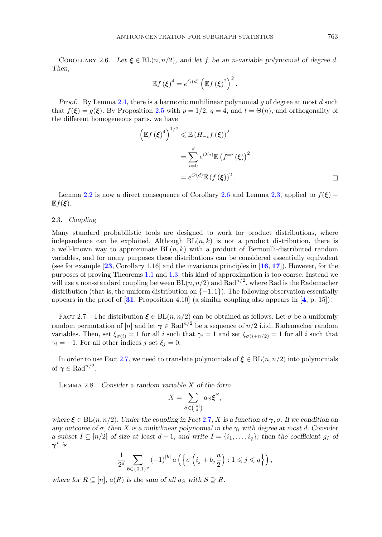<span id="page-6-0"></span>COROLLARY 2.6. Let  $\xi \in BL(n, n/2)$ , and let f be an *n*-variable polynomial of degree d. *Then,*

$$
\mathbb{E}f(\boldsymbol{\xi})^4 = e^{O(d)} \left( \mathbb{E}f(\boldsymbol{\xi})^2 \right)^2.
$$

*Proof.* By Lemma [2.4,](#page-5-0) there is a harmonic multilinear polynomial g of degree at most d such that  $f(\xi) = g(\xi)$ . By Proposition [2.5](#page-5-0) with  $p = 1/2$ ,  $q = 4$ , and  $t = \Theta(n)$ , and orthogonality of the different homogeneous parts, we have

$$
\left(\mathbb{E}f\left(\boldsymbol{\xi}\right)^{4}\right)^{1/2} \leqslant \mathbb{E}\left(H_{-t}f\left(\boldsymbol{\xi}\right)\right)^{2}
$$
\n
$$
= \sum_{i=0}^{d} e^{O(i)} \mathbb{E}\left(f^{-i}\left(\boldsymbol{\xi}\right)\right)^{2}
$$
\n
$$
= e^{O(d)} \mathbb{E}\left(f\left(\boldsymbol{\xi}\right)\right)^{2}.
$$

Lemma [2.2](#page-4-0) is now a direct consequence of Corollary 2.6 and Lemma [2.3,](#page-5-0) applied to  $f(\xi)$  –  $\mathbb{E} f(\boldsymbol{\xi})$ .

# 2.3. *Coupling*

Many standard probabilistic tools are designed to work for product distributions, where independence can be exploited. Although  $BL(n, k)$  is not a product distribution, there is a well-known way to approximate  $BL(n, k)$  with a product of Bernoulli-distributed random variables, and for many purposes these distributions can be considered essentially equivalent (see for example [**[23](#page-20-0)**, Corollary 1.16] and the invariance principles in [**[16](#page-20-0)**, **[17](#page-20-0)**]). However, for the purposes of proving Theorems [1.1](#page-1-0) and [1.3,](#page-2-0) this kind of approximation is too coarse. Instead we will use a non-standard coupling between  $BL(n, n/2)$  and  $Rad^{n/2}$ , where Rad is the Rademacher distribution (that is, the uniform distribution on  $\{-1, 1\}$ ). The following observation essentially appears in the proof of [**[31](#page-20-0)**, Proposition 4.10] (a similar coupling also appears in [**[4](#page-19-0)**, p. 15]).

FACT 2.7. The distribution  $\xi \in BL(n, n/2)$  can be obtained as follows. Let  $\sigma$  be a uniformly random permutation of [n] and let  $\gamma \in \text{Rad}^{n/2}$  be a sequence of  $n/2$  i.i.d. Rademacher random variables. Then, set  $\xi_{\sigma(i)} = 1$  for all i such that  $\gamma_i = 1$  and set  $\xi_{\sigma(i+n/2)} = 1$  for all i such that  $\gamma_i = -1$ . For all other indices j set  $\xi_j = 0$ .

In order to use Fact 2.7, we need to translate polynomials of  $\xi \in BL(n, n/2)$  into polynomials of  $\gamma \in \text{Rad}^{n/2}$ .

Lemma 2.8. *Consider a random variable* X *of the form*

$$
X = \sum_{S \in \binom{[n]}{d}} a_S \xi^S,
$$

*where*  $\xi \in BL(n, n/2)$ *. Under the coupling in Fact* 2.7*, X is a function of*  $\gamma$ *, σ. If we condition on any outcome of*  $\sigma$ , then X is a multilinear polynomial in the  $\gamma_i$  with degree at most d. Consider *a* subset  $I \subseteq [n/2]$  *of size at least*  $d-1$ *, and write*  $I = \{i_1, \ldots, i_q\}$ *; then the coefficient* g<sub>I</sub> *of*  $\gamma^I$  *is* 

$$
\frac{1}{2^d}\sum_{\pmb{b}\in\{0,1\}^q}(-1)^{|\pmb{b}|}\,a\left(\left\{\sigma\left(i_j+b_j\frac{n}{2}\right):1\leqslant j\leqslant q\right\}\right),
$$

*where for*  $R \subseteq [n]$ ,  $a(R)$  *is the sum of all*  $a_S$  *with*  $S \supseteq R$ *.*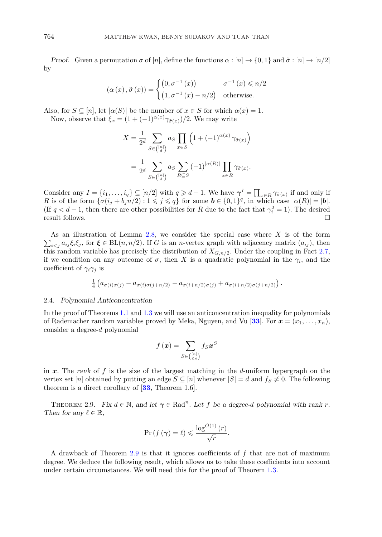<span id="page-7-0"></span>*Proof.* Given a permutation  $\sigma$  of  $[n]$ , define the functions  $\alpha : [n] \to \{0, 1\}$  and  $\tilde{\sigma} : [n] \to [n/2]$ by

$$
(\alpha(x), \tilde{\sigma}(x)) = \begin{cases} (0, \sigma^{-1}(x)) & \sigma^{-1}(x) \le n/2 \\ (1, \sigma^{-1}(x) - n/2) & \text{otherwise.} \end{cases}
$$

Also, for  $S \subseteq [n]$ , let  $|\alpha(S)|$  be the number of  $x \in S$  for which  $\alpha(x) = 1$ . Now, observe that  $\xi_x = (1 + (-1)^{\alpha(x)} \gamma_{\tilde{\sigma}(x)})/2$ . We may write

$$
X = \frac{1}{2^d} \sum_{S \in \binom{[n]}{d}} a_S \prod_{x \in S} \left( 1 + (-1)^{\alpha(x)} \gamma_{\tilde{\sigma}(x)} \right)
$$
  
= 
$$
\frac{1}{2^d} \sum_{S \in \binom{[n]}{d}} a_S \sum_{R \subseteq S} (-1)^{|\alpha(R)|} \prod_{x \in R} \gamma_{\tilde{\sigma}(x)}.
$$

Consider any  $I = \{i_1, \ldots, i_q\} \subseteq [n/2]$  with  $q \geq d-1$ . We have  $\gamma^I = \prod_{x \in R} \gamma_{\tilde{\sigma}(x)}$  if and only if R is of the form  $\{\sigma(i_j + b_j n/2) : 1 \leq j \leq q\}$  for some  $\mathbf{b} \in \{0, 1\}^q$ , in which case  $|\alpha(R)| = |\mathbf{b}|$ . (If  $q < d-1$ , then there are other possibilities for R due to the fact that  $\gamma_i^2 = 1$ ). The desired result follows.

 $\sum_{i \leq j} a_{ij} \xi_i \xi_j$ , for  $\xi \in BL(n, n/2)$ . If G is an *n*-vertex graph with adjacency matrix  $(a_{ij})$ , then As an illustration of Lemma  $2.8$ , we consider the special case where  $X$  is of the form this random variable has precisely the distribution of  $X_{G,n/2}$ . Under the coupling in Fact [2.7,](#page-6-0) if we condition on any outcome of  $\sigma$ , then X is a quadratic polynomial in the  $\gamma_i$ , and the coefficient of  $\gamma_i \gamma_j$  is

$$
\frac{1}{4}\left(a_{\sigma(i)\sigma(j)}-a_{\sigma(i)\sigma(j+n/2)}-a_{\sigma(i+n/2)\sigma(j)}+a_{\sigma(i+n/2)\sigma(j+n/2)}\right).
$$

#### 2.4. *Polynomial Anticoncentration*

In the proof of Theorems [1.1](#page-1-0) and [1.3](#page-2-0) we will use an anticoncentration inequality for polynomials of Rademacher random variables proved by Meka, Nguyen, and Vu [[33](#page-20-0)]. For  $\mathbf{x} = (x_1, \ldots, x_n)$ , consider a degree-d polynomial

$$
f\left(\bm{x}\right) = \sum_{S \in \binom{[n]}{\leqslant d}} f_S \bm{x}^S
$$

in  $x$ . The *rank* of  $f$  is the size of the largest matching in the  $d$ -uniform hypergraph on the vertex set [n] obtained by putting an edge  $S \subseteq [n]$  whenever  $|S| = d$  and  $f_S \neq 0$ . The following theorem is a direct corollary of [**[33](#page-20-0)**, Theorem 1.6].

THEOREM 2.9. *Fix*  $d \in \mathbb{N}$ , and let  $\gamma \in \text{Rad}^n$ . Let f be a degree-d polynomial with rank r. *Then for any*  $\ell \in \mathbb{R}$ ,

$$
\Pr\left(f\left(\boldsymbol{\gamma}\right) = \ell\right) \leqslant \frac{\log^{O(1)}\left(r\right)}{\sqrt{r}}.
$$

A drawback of Theorem  $2.9$  is that it ignores coefficients of f that are not of maximum degree. We deduce the following result, which allows us to take these coefficients into account under certain circumstances. We will need this for the proof of Theorem [1.3.](#page-2-0)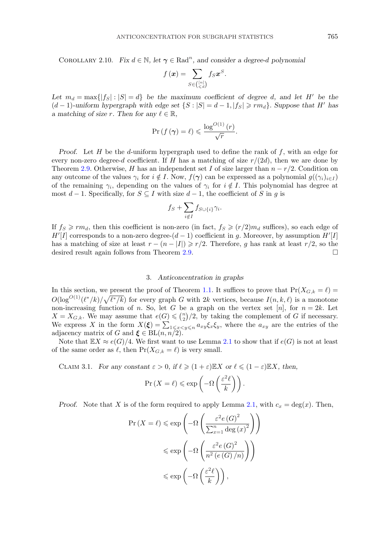# <span id="page-8-0"></span>COROLLARY 2.10. *Fix*  $d \in \mathbb{N}$ , let  $\gamma \in \text{Rad}^n$ , and consider a degree-d polynomial

$$
f(\boldsymbol{x}) = \sum_{S \in \binom{[n]}{\leq d}} f_S \boldsymbol{x}^S.
$$

Let  $m_d = \max\{|f_S| : |S| = d\}$  be the maximum coefficient of degree d, and let H' be the  $(d-1)$ -uniform hypergraph with edge set  $\{S : |S| = d-1, |f_S| \geq r m_d\}$ . Suppose that H' has *a* matching of size r. Then for any  $\ell \in \mathbb{R}$ ,

$$
\Pr\left(f\left(\boldsymbol{\gamma}\right) = \ell\right) \leqslant \frac{\log^{O(1)}\left(r\right)}{\sqrt{r}}.
$$

*Proof.* Let H be the d-uniform hypergraph used to define the rank of f, with an edge for every non-zero degree-d coefficient. If H has a matching of size  $r/(2d)$ , then we are done by Theorem [2.9.](#page-7-0) Otherwise, H has an independent set I of size larger than  $n - r/2$ . Condition on any outcome of the values  $\gamma_i$  for  $i \notin I$ . Now,  $f(\gamma)$  can be expressed as a polynomial  $g((\gamma_i)_{i\in I})$ of the remaining  $\gamma_i$ , depending on the values of  $\gamma_i$  for  $i \notin I$ . This polynomial has degree at most  $d-1$ . Specifically, for  $S \subseteq I$  with size  $d-1$ , the coefficient of S in g is

$$
f_S + \sum_{i \notin I} f_{S \cup \{i\}} \gamma_i.
$$

If  $f_S \geq r m_d$ , then this coefficient is non-zero (in fact,  $f_S \geqslant (r/2) m_d$  suffices), so each edge of  $H'[I]$  corresponds to a non-zero degree- $(d-1)$  coefficient in g. Moreover, by assumption  $H'[I]$ has a matching of size at least  $r - (n - |I|) \ge r/2$ . Therefore, g has rank at least  $r/2$ , so the desired result again follows from Theorem [2.9.](#page-7-0)

# 3. *Anticoncentration in graphs*

In this section, we present the proof of Theorem [1.1.](#page-1-0) It suffices to prove that  $Pr(X_{G,k} = \ell)$  $O(\log^{O(1)}(\ell^*/k)/\sqrt{\ell^*/k})$  for every graph G with 2k vertices, because  $I(n, k, \ell)$  is a monotone non-increasing function of n. So, let G be a graph on the vertex set [n], for  $n = 2k$ . Let  $X = X_{G,k}$ . We may assume that  $e(G) \leqslant \binom{n}{2}$  $\binom{n}{2}/2$ , by taking the complement of G if necessary. We express X in the form  $X(\xi) = \sum_{1 \leq x < y \leq n} a_{xy} \xi_x \xi_y$ , where the  $a_{xy}$  are the entries of the adjacency matrix of G and  $\xi \in BL(n, n/2)$ .

Note that  $\mathbb{E}X \approx e(G)/4$ . We first want to use Lemma [2.1](#page-4-0) to show that if  $e(G)$  is not at least of the same order as  $\ell$ , then  $Pr(X_{G,k} = \ell)$  is very small.

CLAIM 3.1. *For any constant*  $\varepsilon > 0$ , if  $\ell \geq (1 + \varepsilon) \mathbb{E} X$  or  $\ell \leq (1 - \varepsilon) \mathbb{E} X$ , then,

$$
\Pr\left(X = \ell\right) \leqslant \exp\left(-\Omega\left(\frac{\varepsilon^2 \ell}{k}\right)\right).
$$

*Proof.* Note that X is of the form required to apply Lemma [2.1,](#page-4-0) with  $c_x = \deg(x)$ . Then,

$$
\Pr(X = \ell) \le \exp\left(-\Omega\left(\frac{\varepsilon^2 e(G)^2}{\sum_{x=1}^n \deg(x)^2}\right)\right)
$$

$$
\le \exp\left(-\Omega\left(\frac{\varepsilon^2 e(G)^2}{n^2 (e(G)/n)}\right)\right)
$$

$$
\le \exp\left(-\Omega\left(\frac{\varepsilon^2 \ell}{k}\right)\right),
$$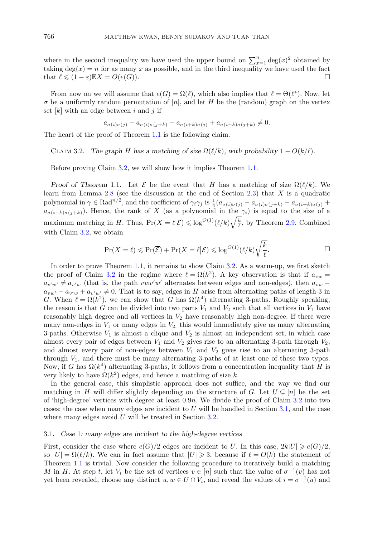<span id="page-9-0"></span>where in the second inequality we have used the upper bound on  $\sum_{x=1}^{n} \text{deg}(x)^2$  obtained by taking  $deg(x) = n$  for as many x as possible, and in the third inequality we have used the fact that  $\ell \leqslant (1 - \varepsilon) \mathbb{E} X = O(e(G)).$ 

From now on we will assume that  $e(G) = \Omega(\ell)$ , which also implies that  $\ell = \Theta(\ell^*)$ . Now, let  $\sigma$  be a uniformly random permutation of [n], and let H be the (random) graph on the vertex set  $[k]$  with an edge between i and j if

$$
a_{\sigma(i)\sigma(j)} - a_{\sigma(i)\sigma(j+k)} - a_{\sigma(i+k)\sigma(j)} + a_{\sigma(i+k)\sigma(j+k)} \neq 0.
$$

The heart of the proof of Theorem [1.1](#page-1-0) is the following claim.

CLAIM 3.2. *The graph* H has a matching of size  $\Omega(\ell/k)$ , with probability  $1 - O(k/\ell)$ .

Before proving Claim 3.2, we will show how it implies Theorem [1.1.](#page-1-0)

*Proof of Theorem* 1.1. Let  $\mathcal{E}$  be the event that H has a matching of size  $\Omega(\ell/k)$ . We learn from Lemma [2.8](#page-6-0) (see the discussion at the end of Section [2.3\)](#page-6-0) that  $X$  is a quadratic polynomial in  $\gamma \in \text{Rad}^{n/2}$ , and the coefficient of  $\gamma_i \gamma_j$  is  $\frac{1}{4} (a_{\sigma(i)\sigma(j)} - a_{\sigma(i)\sigma(j+k)} - a_{\sigma(i+k)\sigma(j)} + a_{\sigma(i)\sigma(j)} - a_{\sigma(i)\sigma(j+k)} - a_{\sigma(i)\sigma(j)}$  $a_{\sigma(i+k)\sigma(j+k)}$ ). Hence, the rank of X (as a polynomial in the  $\gamma_i$ ) is equal to the size of a maximum matching in H. Thus,  $Pr(X = \ell | \mathcal{E}) \leq \log^{O(1)}(\ell/k) \sqrt{\frac{k}{\ell}}$ , by Theorem [2.9.](#page-7-0) Combined with Claim 3.2, we obtain

$$
\Pr(X = \ell) \leqslant \Pr(\overline{\mathcal{E}}) + \Pr(X = \ell | \mathcal{E}) \leqslant \log^{O(1)}(\ell/k) \sqrt{\frac{k}{\ell}}.
$$

In order to prove Theorem [1.1,](#page-1-0) it remains to show Claim 3.2. As a warm-up, we first sketch the proof of Claim 3.2 in the regime where  $\ell = \Omega(k^2)$ . A key observation is that if  $a_{vw} =$  $a_{v'w'} \neq a_{v'w}$  (that is, the path vwv'w' alternates between edges and non-edges), then  $a_{vw}$  $a_{vw'} - a_{v'w} + a_{v'w'} \neq 0$ . That is to say, edges in H arise from alternating paths of length 3 in G. When  $\ell = \Omega(k^2)$ , we can show that G has  $\Omega(k^4)$  alternating 3-paths. Roughly speaking, the reason is that G can be divided into two parts  $V_1$  and  $V_2$  such that all vertices in  $V_1$  have reasonably high degree and all vertices in  $V_2$  have reasonably high non-degree. If there were many non-edges in  $V_1$  or many edges in  $V_2$ , this would immediately give us many alternating 3-paths. Otherwise  $V_1$  is almost a clique and  $V_2$  is almost an independent set, in which case almost every pair of edges between  $V_1$  and  $V_2$  gives rise to an alternating 3-path through  $V_2$ , and almost every pair of non-edges between  $V_1$  and  $V_2$  gives rise to an alternating 3-path through  $V_1$ , and there must be many alternating 3-paths of at least one of these two types. Now, if G has  $\Omega(k^4)$  alternating 3-paths, it follows from a concentration inequality that H is very likely to have  $\Omega(k^2)$  edges, and hence a matching of size k.

In the general case, this simplistic approach does not suffice, and the way we find our matching in H will differ slightly depending on the structure of G. Let  $U \subseteq [n]$  be the set of 'high-degree' vertices with degree at least  $0.9n$ . We divide the proof of Claim 3.2 into two cases: the case when many edges are incident to U will be handled in Section 3.1, and the case where many edges avoid  $U$  will be treated in Section [3.2.](#page-10-0)

#### 3.1. *Case* 1*: many edges are incident to the high-degree vertices*

First, consider the case where  $e(G)/2$  edges are incident to U. In this case,  $2k|U| \geqslant e(G)/2$ , so  $|U| = \Omega(\ell/k)$ . We can in fact assume that  $|U| \geq 3$ , because if  $\ell = O(k)$  the statement of Theorem [1.1](#page-1-0) is trivial. Now consider the following procedure to iteratively build a matching M in H. At step t, let  $V_t$  be the set of vertices  $v \in [n]$  such that the value of  $\sigma^{-1}(v)$  has not yet been revealed, choose any distinct  $u, w \in U \cap V_t$ , and reveal the values of  $i = \sigma^{-1}(u)$  and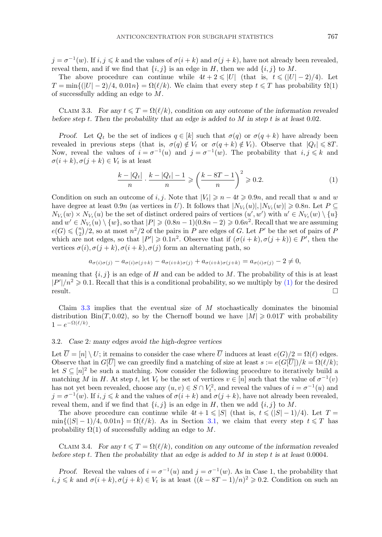<span id="page-10-0"></span> $j = \sigma^{-1}(w)$ . If  $i, j \leq k$  and the values of  $\sigma(i + k)$  and  $\sigma(j + k)$ , have not already been revealed, reveal them, and if we find that  $\{i, j\}$  is an edge in H, then we add  $\{i, j\}$  to M.

The above procedure can continue while  $4t + 2 \leq |U|$  (that is,  $t \leq (|U| - 2)/4$ ). Let  $T = \min\{(|U| - 2)/4, 0.01n\} = \Omega(\ell/k)$ . We claim that every step  $t \leq T$  has probability  $\Omega(1)$ of successfully adding an edge to M.

CLAIM 3.3. For any  $t \leq T = \Omega(\ell/k)$ , condition on any outcome of the information revealed *before step* t*. Then the probability that an edge is added to* M *in step* t *is at least* 0*.*02*.*

*Proof.* Let  $Q_t$  be the set of indices  $q \in [k]$  such that  $\sigma(q)$  or  $\sigma(q+k)$  have already been revealed in previous steps (that is,  $\sigma(q) \notin V_t$  or  $\sigma(q+k) \notin V_t$ ). Observe that  $|Q_t| \leq 8T$ . Now, reveal the values of  $i = \sigma^{-1}(u)$  and  $j = \sigma^{-1}(w)$ . The probability that  $i, j \leq k$  and  $\sigma(i+k), \sigma(j+k) \in V_t$  is at least

$$
\frac{k-|Q_t|}{n} \cdot \frac{k-|Q_t|-1}{n} \ge \left(\frac{k-8T-1}{n}\right)^2 \ge 0.2.
$$
 (1)

Condition on such an outcome of i, j. Note that  $|V_t| \geq n - 4t \geq 0.9n$ , and recall that u and w have degree at least  $0.9n$  (as vertices in U). It follows that  $|N_{V_t}(u)|, |N_{V_t}(w)| \geq 0.8n$ . Let  $P \subseteq$  $N_{V_t}(w) \times N_{V_t}(u)$  be the set of distinct ordered pairs of vertices  $(u', w')$  with  $u' \in N_{V_t}(w) \setminus \{u\}$ and  $w' \in N_{V_t}(u) \setminus \{w\}$ , so that  $|P| \geq (0.8n - 1)(0.8n - 2) \geq 0.6n^2$ . Recall that we are assuming  $e(G) \leqslant {n \choose 2}$  $\binom{n}{2}/2$ , so at most  $n^2/2$  of the pairs in P are edges of G. Let P' be the set of pairs of P which are not edges, so that  $|P'| \geq 0.1n^2$ . Observe that if  $(\sigma(i+k), \sigma(j+k)) \in P'$ , then the vertices  $\sigma(i)$ ,  $\sigma(j+k)$ ,  $\sigma(i+k)$ ,  $\sigma(j)$  form an alternating path, so

$$
a_{\sigma(i)\sigma(j)} - a_{\sigma(i)\sigma(j+k)} - a_{\sigma(i+k)\sigma(j)} + a_{\sigma(i+k)\sigma(j+k)} = a_{\sigma(i)\sigma(j)} - 2 \neq 0,
$$

meaning that  $\{i, j\}$  is an edge of H and can be added to M. The probability of this is at least  $|P'|/n^2 \geq 0.1$ . Recall that this is a conditional probability, so we multiply by (1) for the desired result.

Claim  $3.3$  implies that the eventual size of M stochastically dominates the binomial distribution Bin(T, 0.02), so by the Chernoff bound we have  $|M| \geq 0.01T$  with probability  $1-e^{-\Omega(\ell/k)}$ .

### 3.2. *Case* 2*: many edges avoid the high-degree vertices*

Let  $U = [n] \setminus U$ ; it remains to consider the case where U induces at least  $e(G)/2 = \Omega(\ell)$  edges. Observe that in  $G[U]$  we can greedily find a matching of size at least  $s := e(G[U])/k = \Omega(\ell/k);$ let  $S \subseteq [n]^2$  be such a matching. Now consider the following procedure to iteratively build a matching M in H. At step t, let  $V_t$  be the set of vertices  $v \in [n]$  such that the value of  $\sigma^{-1}(v)$ has not yet been revealed, choose any  $(u, v) \in S \cap V_t^2$ , and reveal the values of  $i = \sigma^{-1}(u)$  and  $j = \sigma^{-1}(w)$ . If  $i, j \leq k$  and the values of  $\sigma(i + k)$  and  $\sigma(j + k)$ , have not already been revealed, reveal them, and if we find that  $\{i, j\}$  is an edge in H, then we add  $\{i, j\}$  to M.

The above procedure can continue while  $4t + 1 \leqslant |S|$  (that is,  $t \leqslant (|S| - 1)/4$ ). Let  $T =$  $\min\{(|S|-1)/4, 0.01n\} = \Omega(\ell/k)$ . As in Section [3.1,](#page-9-0) we claim that every step  $t \leq T$  has probability  $\Omega(1)$  of successfully adding an edge to M.

CLAIM 3.4. *For any*  $t \leq T = \Omega(\ell/k)$ , condition on any outcome of the information revealed *before step* t*. Then the probability that an edge is added to* M *in step* t *is at least* 0*.*0004*.*

*Proof.* Reveal the values of  $i = \sigma^{-1}(u)$  and  $j = \sigma^{-1}(w)$ . As in Case 1, the probability that  $i, j \leq k$  and  $\sigma(i + k), \sigma(j + k) \in V_t$  is at least  $((k - 8T - 1)/n)^2 \geq 0.2$ . Condition on such an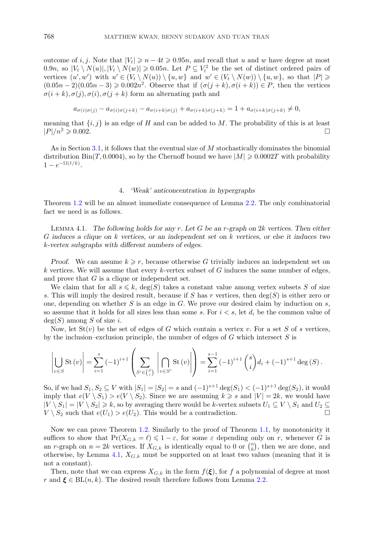<span id="page-11-0"></span>outcome of i, j. Note that  $|V_t| \geq n - 4t \geq 0.95n$ , and recall that u and w have degree at most 0.9n, so  $|V_t \setminus N(u)|, |V_t \setminus N(w)| \geq 0.05n$ . Let  $P \subseteq V_t^2$  be the set of distinct ordered pairs of vertices  $(u', w')$  with  $u' \in (V_t \setminus N(u)) \setminus \{u, w\}$  and  $w' \in (V_t \setminus N(w)) \setminus \{u, w\}$ , so that  $|P| \geq$  $(0.05n-2)(0.05n-3) \geq 0.002n^2$ . Observe that if  $(\sigma(j+k), \sigma(i+k)) \in P$ , then the vertices  $\sigma(i+k), \sigma(j), \sigma(i), \sigma(j+k)$  form an alternating path and

$$
a_{\sigma(i)\sigma(j)} - a_{\sigma(i)\sigma(j+k)} - a_{\sigma(i+k)\sigma(j)} + a_{\sigma(i+k)\sigma(j+k)} = 1 + a_{\sigma(i+k)\sigma(j+k)} \neq 0,
$$

meaning that  $\{i, j\}$  is an edge of H and can be added to M. The probability of this is at least  $|P|/n^2 \geqslant 0.002.$ 

As in Section [3.1,](#page-9-0) it follows that the eventual size of M stochastically dominates the binomial distribution Bin(T, 0.0004), so by the Chernoff bound we have  $|M| \geq 0.0002T$  with probability  $1-e^{-\Omega(\ell/k)}$ .

#### 4. *'Weak' anticoncentration in hypergraphs*

Theorem [1.2](#page-1-0) will be an almost immediate consequence of Lemma [2.2.](#page-4-0) The only combinatorial fact we need is as follows.

Lemma 4.1. *The following holds for any* r*. Let* G *be an* r*-graph on* 2k *vertices. Then either* G *induces a clique on* k *vertices, or an independent set on* k *vertices, or else it induces two* k*-vertex subgraphs with different numbers of edges.*

*Proof.* We can assume  $k \geq r$ , because otherwise G trivially induces an independent set on k vertices. We will assume that every k-vertex subset of  $G$  induces the same number of edges, and prove that  $G$  is a clique or independent set.

We claim that for all  $s \leq k$ ,  $deg(S)$  takes a constant value among vertex subsets S of size s. This will imply the desired result, because if S has r vertices, then  $\deg(S)$  is either zero or one, depending on whether S is an edge in G. We prove our desired claim by induction on s, so assume that it holds for all sizes less than some s. For  $i < s$ , let  $d_i$  be the common value of  $deg(S)$  among S of size i.

Now, let  $St(v)$  be the set of edges of G which contain a vertex v. For a set S of s vertices, by the inclusion–exclusion principle, the number of edges of  $G$  which intersect  $S$  is

$$
\left| \bigcup_{v \in S} \text{St}(v) \right| = \sum_{i=1}^{s} (-1)^{i+1} \left( \sum_{S' \in {S \choose i}} \left| \bigcap_{v \in S'} \text{St}(v) \right| \right) = \sum_{i=1}^{s-1} (-1)^{i+1} {s \choose i} d_i + (-1)^{s+1} \deg(S).
$$

So, if we had  $S_1, S_2 \subseteq V$  with  $|S_1| = |S_2| = s$  and  $(-1)^{s+1} \deg(S_1) < (-1)^{s+1} \deg(S_2)$ , it would imply that  $e(V \setminus S_1) > e(V \setminus S_2)$ . Since we are assuming  $k \geq s$  and  $|V| = 2k$ , we would have  $|V \setminus S_1| = |V \setminus S_2| \geq k$ , so by averaging there would be k-vertex subsets  $U_1 \subseteq V \setminus S_1$  and  $U_2 \subseteq$  $V \setminus S_2$  such that  $e(U_1) > e(U_2)$ . This would be a contradiction.

Now we can prove Theorem [1.2.](#page-1-0) Similarly to the proof of Theorem [1.1,](#page-1-0) by monotonicity it suffices to show that  $Pr(X_{G,k} = \ell) \leq 1 - \varepsilon$ , for some  $\varepsilon$  depending only on r, whenever G is an r-graph on  $n = 2k$  vertices. If  $X_{G,k}$  is identically equal to 0 or  $\binom{n}{k}$ , then we are done, and otherwise, by Lemma 4.1,  $X_{G,k}$  must be supported on at least two values (meaning that it is not a constant).

Then, note that we can express  $X_{G,k}$  in the form  $f(\xi)$ , for f a polynomial of degree at most r and  $\xi \in BL(n, k)$ . The desired result therefore follows from Lemma [2.2.](#page-4-0)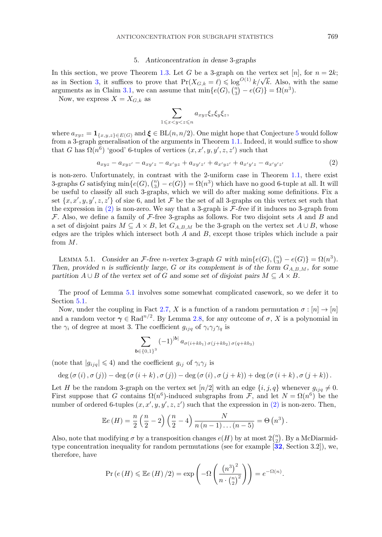#### 5. *Anticoncentration in dense* 3*-graphs*

<span id="page-12-0"></span>In this section, we prove Theorem [1.3.](#page-2-0) Let G be a 3-graph on the vertex set [n], for  $n = 2k$ ; as in Section, we prove Theorem 1.5. Let G be a G-graph on the vertex set  $[n]$ , for  $n = 2n$ , as in Section [3,](#page-8-0) it suffices to prove that  $Pr(X_{G,k} = \ell) \leq log^{O(1)} k / \sqrt{k}$ . Also, with the same arguments as in Claim [3.1,](#page-8-0) we can assume that  $\min\{e(G), \binom{n}{3}\}$  ${n \choose 3} - e(G) = \Omega(n^3).$ 

Now, we express  $X = X_{G,k}$  as

$$
\sum_{1\leqslant x
$$

where  $a_{xyz} = \mathbf{1}_{\{x,y,z\} \in E(G)}$  and  $\boldsymbol{\xi} \in BL(n, n/2)$ . One might hope that Conjecture [5](#page-15-0) would follow from a 3-graph generalisation of the arguments in Theorem [1.1.](#page-1-0) Indeed, it would suffice to show that G has  $\Omega(n^6)$  'good' 6-tuples of vertices  $(x, x', y, y', z, z')$  such that

$$
a_{xyz} - a_{xyz'} - a_{xy'z} - a_{x'yz} + a_{xy'z'} + a_{x'yz'} + a_{x'y'z} - a_{x'y'z'} \tag{2}
$$

is non-zero. Unfortunately, in contrast with the 2-uniform case in Theorem [1.1,](#page-1-0) there exist 3-graphs G satisfying  $\min\{e(G), \binom{n}{3}\}$  $\binom{n}{3} - e(G)$  =  $\Omega(n^3)$  which have no good 6-tuple at all. It will be useful to classify all such 3-graphs, which we will do after making some definitions. Fix a set  $\{x, x', y, y', z, z'\}$  of size 6, and let F be the set of all 3-graphs on this vertex set such that the expression in (2) is non-zero. We say that a 3-graph is F*-free* if it induces no 3-graph from  $\mathcal F$ . Also, we define a family of  $\mathcal F$ -free 3-graphs as follows. For two disjoint sets A and B and a set of disjoint pairs  $M \subseteq A \times B$ , let  $G_{A,B,M}$  be the 3-graph on the vertex set  $A \cup B$ , whose edges are the triples which intersect both  $A$  and  $B$ , except those triples which include a pair from M.

LEMMA 5.1. *Consider an F*-free *n*-vertex 3-graph *G* with  $\min\{e(G), \binom{n}{3}\}$  ${n \choose 3} - e(G) = \Omega(n^3).$ *Then, provided n is sufficiently large, G or its complement is of the form*  $G_{A,B,M}$ *, for some partition*  $A \cup B$  *of the vertex set of* G *and some set of disjoint pairs*  $M \subseteq A \times B$ *.* 

The proof of Lemma 5.1 involves some somewhat complicated casework, so we defer it to Section [5.1.](#page-13-0)

Now, under the coupling in Fact [2.7,](#page-6-0) X is a function of a random permutation  $\sigma : [n] \to [n]$ and a random vector  $\gamma \in \text{Rad}^{n/2}$ . By Lemma [2.8,](#page-6-0) for any outcome of  $\sigma$ , X is a polynomial in the  $\gamma_i$  of degree at most 3. The coefficient  $g_{ijq}$  of  $\gamma_i \gamma_j \gamma_q$  is

$$
\sum_{b \in \{0,1\}^3} (-1)^{|b|} a_{\sigma(i+kb_1)\sigma(j+kb_2)\sigma(q+kb_3)}
$$

(note that  $|g_{ijq}| \leq 4$ ) and the coefficient  $g_{ij}$  of  $\gamma_i \gamma_j$  is

$$
\deg(\sigma(i), \sigma(j)) - \deg(\sigma(i+k), \sigma(j)) - \deg(\sigma(i), \sigma(j+k)) + \deg(\sigma(i+k), \sigma(j+k)).
$$

Let H be the random 3-graph on the vertex set  $[n/2]$  with an edge  $\{i, j, q\}$  whenever  $g_{ijq} \neq 0$ . First suppose that G contains  $\Omega(n^6)$ -induced subgraphs from F, and let  $N = \Omega(n^6)$  be the number of ordered 6-tuples  $(x, x', y, y', z, z')$  such that the expression in  $(2)$  is non-zero. Then,

$$
\mathbb{E}e(H) = \frac{n}{2} \left( \frac{n}{2} - 2 \right) \left( \frac{n}{2} - 4 \right) \frac{N}{n(n-1)...(n-5)} = \Theta(n^3).
$$

Also, note that modifying  $\sigma$  by a transposition changes  $e(H)$  by at most  $2{n \choose 2}$  $\binom{n}{2}$ . By a McDiarmidtype concentration inequality for random permutations (see for example [**[32](#page-20-0)**, Section 3.2]), we, therefore, have

$$
\Pr\left(e\left(H\right)\leqslant \mathbb{E}e\left(H\right)/2\right)=\exp\left(-\Omega\left(\frac{\left(n^3\right)^2}{n\cdot\binom{n}{2}^2}\right)\right)=e^{-\Omega(n)}.
$$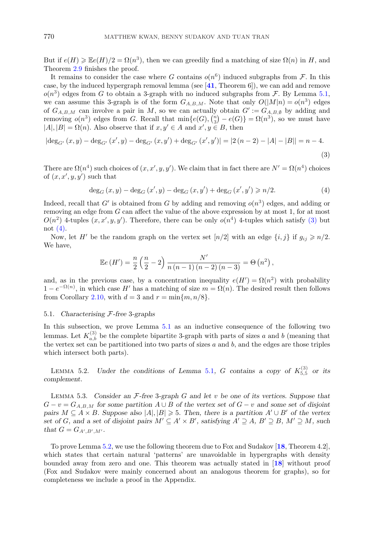<span id="page-13-0"></span>But if  $e(H) \geq \mathbb{E}e(H)/2 = \Omega(n^3)$ , then we can greedily find a matching of size  $\Omega(n)$  in H, and Theorem [2.9](#page-7-0) finishes the proof.

It remains to consider the case where G contains  $o(n^6)$  induced subgraphs from F. In this case, by the induced hypergraph removal lemma (see [**[41](#page-20-0)**, Theorem 6]), we can add and remove  $o(n^3)$  edges from G to obtain a 3-graph with no induced subgraphs from F. By Lemma [5.1,](#page-12-0) we can assume this 3-graph is of the form  $G_{A,B,M}$ . Note that only  $O(|M|n) = o(n^3)$  edges of  $G_{A,B,M}$  can involve a pair in M, so we can actually obtain  $G' := G_{A,B,\emptyset}$  by adding and removing  $o(n^3)$  edges from G. Recall that  $\min\{e(G), \binom{n}{3}\}$  $\binom{n}{3} - e(G)$  =  $\Omega(n^3)$ , so we must have  $|A|, |B| = \Omega(n)$ . Also observe that if  $x, y' \in A$  and  $x', y \in B$ , then

$$
|\deg_{G'}(x,y) - \deg_{G'}(x',y) - \deg_{G'}(x,y') + \deg_{G'}(x',y')| = |2(n-2) - |A| - |B|| = n-4.
$$
\n(3)

There are  $\Omega(n^4)$  such choices of  $(x, x', y, y')$ . We claim that in fact there are  $N' = \Omega(n^4)$  choices of  $(x, x', y, y')$  such that

$$
\deg_G(x, y) - \deg_G(x', y) - \deg_G(x, y') + \deg_G(x', y') \ge n/2.
$$
 (4)

Indeed, recall that G' is obtained from G by adding and removing  $o(n^3)$  edges, and adding or removing an edge from  $G$  can affect the value of the above expression by at most 1, for at most  $O(n^2)$  4-tuples  $(x, x', y, y')$ . Therefore, there can be only  $o(n^4)$  4-tuples which satisfy (3) but not (4).

Now, let H' be the random graph on the vertex set  $[n/2]$  with an edge  $\{i, j\}$  if  $g_{ij} \geq n/2$ . We have,

$$
\mathbb{E}e(H') = \frac{n}{2} \left( \frac{n}{2} - 2 \right) \frac{N'}{n(n-1)(n-2)(n-3)} = \Theta(n^2),
$$

and, as in the previous case, by a concentration inequality  $e(H') = \Omega(n^2)$  with probability  $1 - e^{-\Omega(n)}$ , in which case H' has a matching of size  $m = \Omega(n)$ . The desired result then follows from Corollary [2.10,](#page-8-0) with  $d = 3$  and  $r = \min\{m, n/8\}.$ 

## 5.1. *Characterising* F*-free* 3*-graphs*

In this subsection, we prove Lemma [5.1](#page-12-0) as an inductive consequence of the following two lemmas. Let  $K_{a,b}^{(3)}$  be the complete bipartite 3-graph with parts of sizes a and b (meaning that the vertex set can be partitioned into two parts of sizes  $a$  and  $b$ , and the edges are those triples which intersect both parts).

LEMMA 5.2. *Under the conditions of Lemma [5.1](#page-12-0), G contains a copy of*  $K_{5,5}^{(3)}$  *or its complement.*

Lemma 5.3. *Consider an* F*-free* 3*-graph* G *and let* v *be one of its vertices. Suppose that*  $G - v = G_{A,B,M}$  for some partition  $A \cup B$  of the vertex set of  $G - v$  and some set of disjoint *pairs*  $M \subseteq A \times B$ *. Suppose also*  $|A|, |B| \geq 5$ *. Then, there is a partition*  $A' \cup B'$  of the vertex *set of* G, and a set of disjoint pairs  $M' \subseteq A' \times B'$ , satisfying  $A' \supseteq A$ ,  $B' \supseteq B$ ,  $M' \supseteq M$ , such *that*  $G = G_{A',B',M'}$ .

To prove Lemma 5.2, we use the following theorem due to Fox and Sudakov [**[18](#page-20-0)**, Theorem 4.2], which states that certain natural 'patterns' are unavoidable in hypergraphs with density bounded away from zero and one. This theorem was actually stated in [**[18](#page-20-0)**] without proof (Fox and Sudakov were mainly concerned about an analogous theorem for graphs), so for completeness we include a proof in the Appendix.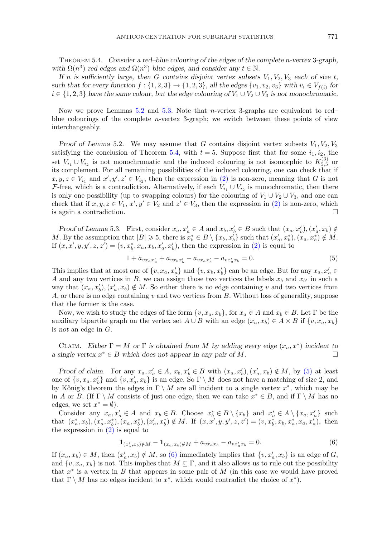<span id="page-14-0"></span>Theorem 5.4. *Consider a red–blue colouring of the edges of the complete* n*-vertex* 3*-graph, with*  $\Omega(n^3)$  *red edges and*  $\Omega(n^3)$  *blue edges, and consider any*  $t \in \mathbb{N}$ *.* 

*If* n is sufficiently large, then G contains disjoint vertex subsets  $V_1, V_2, V_3$  each of size t, such that for every function  $f : \{1, 2, 3\} \rightarrow \{1, 2, 3\}$ , all the edges  $\{v_1, v_2, v_3\}$  with  $v_i \in V_{f(i)}$  for  $i \in \{1, 2, 3\}$  *have the same colour, but the edge colouring of*  $V_1 \cup V_2 \cup V_3$  *is not monochromatic.* 

Now we prove Lemmas [5.2](#page-13-0) and [5.3.](#page-13-0) Note that n-vertex 3-graphs are equivalent to red– blue colourings of the complete  $n$ -vertex 3-graph; we switch between these points of view interchangeably.

*Proof of Lemma* 5.2. We may assume that G contains disjoint vertex subsets  $V_1, V_2, V_3$ satisfying the conclusion of Theorem 5.4, with  $t = 5$ . Suppose first that for some  $i_1, i_2$ , the set  $V_{i_1} \cup V_{i_2}$  is not monochromatic and the induced colouring is not isomorphic to  $K_{5,5}^{(3)}$  or its complement. For all remaining possibilities of the induced colouring, one can check that if  $x, y, z \in V_{i_1}$  and  $x', y', z' \in V_{i_2}$ , then the expression in [\(2\)](#page-12-0) is non-zero, meaning that G is not F-free, which is a contradiction. Alternatively, if each  $V_{i_1} \cup V_{i_2}$  is monochromatic, then there is only one possibility (up to swapping colours) for the colouring of  $V_1 \cup V_2 \cup V_3$ , and one can check that if  $x, y, z \in V_1$ ,  $x', y' \in V_2$  and  $z' \in V_3$ , then the expression in [\(2\)](#page-12-0) is non-zero, which is again a contradiction.  $\Box$ 

*Proof of Lemma* 5.3. First, consider  $x_a, x'_a \in A$  and  $x_b, x'_b \in B$  such that  $(x_a, x'_b), (x'_a, x_b) \notin A$ M. By the assumption that  $|B| \geq 5$ , there is  $x_b^* \in B \setminus \{x_b, x_b'\}$  such that  $(x_a', x_b^*), (x_a, x_b^*) \notin M$ . If  $(x, x', y, y', z, z') = (v, x_b^*, x_a, x_b, x_a', x_b')$ , then the expression in [\(2\)](#page-12-0) is equal to

$$
1 + a_{vx_ax'_a} + a_{vx_bx'_b} - a_{vx_ax'_b} - a_{vx'_ax_b} = 0.
$$
\n(5)

This implies that at most one of  $\{v, x_a, x'_a\}$  and  $\{v, x_b, x'_b\}$  can be an edge. But for any  $x_a, x'_a \in$ A and any two vertices in B, we can assign those two vertices the labels  $x_b$  and  $x_{b'}$  in such a way that  $(x_a, x'_b), (x'_a, x_b) \notin M$ . So either there is no edge containing v and two vertices from A, or there is no edge containing  $v$  and two vertices from  $B$ . Without loss of generality, suppose that the former is the case.

Now, we wish to study the edges of the form  $\{v, x_a, x_b\}$ , for  $x_a \in A$  and  $x_b \in B$ . Let  $\Gamma$  be the auxiliary bipartite graph on the vertex set  $A \cup B$  with an edge  $(x_a, x_b) \in A \times B$  if  $\{v, x_a, x_b\}$ is *not* an edge in G.

CLAIM. *Either*  $\Gamma = M$  *or*  $\Gamma$  *is obtained from M by adding every edge*  $(x_a, x^*)$  *incident to a single vertex*  $x^*$  ∈ *B* which does not appear in any pair of *M*.

*Proof of claim.* For any  $x_a, x'_a \in A$ ,  $x_b, x'_b \in B$  with  $(x_a, x'_b), (x'_a, x_b) \notin M$ , by (5) at least one of  $\{v, x_a, x'_b\}$  and  $\{v, x'_a, x_b\}$  is an edge. So  $\Gamma \setminus M$  does not have a matching of size 2, and by Kőnig's theorem the edges in  $\Gamma \setminus M$  are all incident to a single vertex  $x^*$ , which may be in A or B. (If  $\Gamma \setminus M$  consists of just one edge, then we can take  $x^* \in B$ , and if  $\Gamma \setminus M$  has no edges, we set  $x^* = \emptyset$ ).

Consider any  $x_a, x'_a \in A$  and  $x_b \in B$ . Choose  $x_b^* \in B \setminus \{x_b\}$  and  $x_a^* \in A \setminus \{x_a, x'_a\}$  such that  $(x_a^*, x_b), (x_a^*, x_b^*), (x_a, x_b^*), (x_a', x_b^*) \notin M$ . If  $(x, x', y, y', z, z') = (v, x_b^*, x_b, x_a^*, x_a, x_a')$ , then the expression in  $(2)$  is equal to

$$
\mathbf{1}_{(x'_a,x_b)\notin M} - \mathbf{1}_{(x_a,x_b)\notin M} + a_{vx_ax_b} - a_{vx'_ax_b} = 0.
$$
\n(6)

If  $(x_a, x_b) \in M$ , then  $(x'_a, x_b) \notin M$ , so (6) immediately implies that  $\{v, x'_a, x_b\}$  is an edge of G, and  $\{v, x_a, x_b\}$  is not. This implies that  $M \subseteq \Gamma$ , and it also allows us to rule out the possibility that  $x^*$  is a vertex in B that appears in some pair of M (in this case we would have proved that  $\Gamma \setminus M$  has no edges incident to  $x^*$ , which would contradict the choice of  $x^*$ ).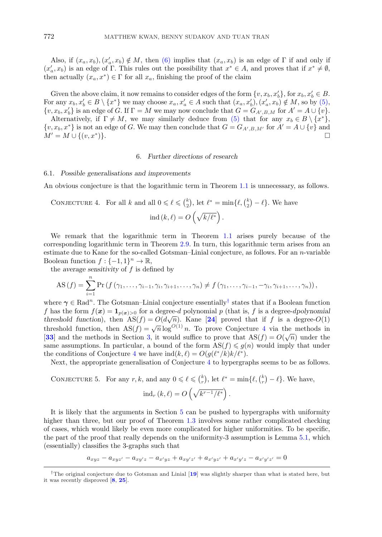<span id="page-15-0"></span>Also, if  $(x_a, x_b), (x'_a, x_b) \notin M$ , then [\(6\)](#page-14-0) implies that  $(x_a, x_b)$  is an edge of  $\Gamma$  if and only if  $(x'_a, x_b)$  is an edge of Γ. This rules out the possibility that  $x^* \in A$ , and proves that if  $x^* \neq \emptyset$ , then actually  $(x_a, x^*) \in \Gamma$  for all  $x_a$ , finishing the proof of the claim

Given the above claim, it now remains to consider edges of the form  $\{v, x_b, x'_b\}$ , for  $x_b, x'_b \in B$ . For any  $x_b, x'_b \in B \setminus \{x^*\}$  we may choose  $x_a, x'_a \in A$  such that  $(x_a, x'_b), (x'_a, x_b) \notin M$ , so by [\(5\),](#page-14-0)  $\{v, x_b, x'_b\}$  is an edge of G. If  $\Gamma = M$  we may now conclude that  $G = G_{A', B, M}$  for  $A' = A \cup \{v\}$ .

Alternatively, if  $\Gamma \neq M$ , we may similarly deduce from [\(5\)](#page-14-0) that for any  $x_b \in B \setminus \{x^*\}$ ,  $\{v, x_b, x^*\}$  is not an edge of G. We may then conclude that  $G = G_{A',B,M'}$  for  $A' = A \cup \{v\}$  and  $M' = M \cup \{(v, x^*)\}.$ 

# 6. *Further directions of research*

#### 6.1. *Possible generalisations and improvements*

An obvious conjecture is that the logarithmic term in Theorem [1.1](#page-1-0) is unnecessary, as follows.

CONJECTURE 4. For all k and all  $0 \leq \ell \leq {k \choose 2}$  $\binom{k}{2}$ , let  $\ell^* = \min\{\ell, \binom{k}{2}$  $\binom{k}{2} - \ell$ . We have

$$
ind (k, \ell) = O \left( \sqrt{k/\ell^*} \right).
$$

We remark that the logarithmic term in Theorem [1.1](#page-1-0) arises purely because of the corresponding logarithmic term in Theorem [2.9.](#page-7-0) In turn, this logarithmic term arises from an estimate due to Kane for the so-called Gotsman–Linial conjecture, as follows. For an n-variable Boolean function  $f: \{-1,1\}^n \to \mathbb{R}$ ,

the *average sensitivity* of f is defined by

AS 
$$
(f)
$$
 =  $\sum_{i=1}^{n} Pr(f(\gamma_1, ..., \gamma_{i-1}, \gamma_i, \gamma_{i+1}, ..., \gamma_n) \neq f(\gamma_1, ..., \gamma_{i-1}, -\gamma_i, \gamma_{i+1}, ..., \gamma_n)),$ 

where  $\gamma \in \text{Rad}^n$ . The Gotsman–Linial conjecture essentially<sup>†</sup> states that if a Boolean function f has the form  $f(x) = \mathbf{1}_{p(x)>0}$  for a degree-d polynomial p (that is, f is a degree-dpolynomial *threshold function*), then  $\text{AS}(f) = O(d\sqrt{n})$ . Kane [[24](#page-20-0)] proved that if f is a degree-O(1) threshold function, then  $AS(f) = \sqrt{n} \log^{O(1)} n$ . To prove Conjecture 4 via the methods in [**[33](#page-20-0)**] and the methods in Section [3,](#page-8-0) it would suffice to prove that  $AS(f) = O(\sqrt{n})$  under the same assumptions. In particular, a bound of the form  $AS(f) \leq g(n)$  would imply that under the conditions of Conjecture 4 we have  $\text{ind}(k,\ell) = O(g(\ell^*/k)k/\ell^*).$ 

Next, the appropriate generalisation of Conjecture 4 to hypergraphs seems to be as follows.

CONJECTURE 5. For any 
$$
r, k
$$
, and any  $0 \le \ell \le {k \choose r}$ , let  $\ell^* = \min\{\ell, {k \choose r} - \ell\}$ . We have,  

$$
\text{ind}_r (k, \ell) = O\left(\sqrt{k^{r-1}/\ell^*}\right).
$$

It is likely that the arguments in Section [5](#page-12-0) can be pushed to hypergraphs with uniformity higher than three, but our proof of Theorem [1.3](#page-2-0) involves some rather complicated checking of cases, which would likely be even more complicated for higher uniformities. To be specific, the part of the proof that really depends on the uniformity-3 assumption is Lemma [5.1,](#page-12-0) which (essentially) classifies the 3-graphs such that

$$
a_{xyz} - a_{xyz'} - a_{xy'z} - a_{x'yz} + a_{xy'z'} + a_{x'yz'} + a_{x'y'z} - a_{x'y'z'} = 0
$$

<sup>†</sup>The original conjecture due to Gotsman and Linial [**[19](#page-20-0)**] was slightly sharper than what is stated here, but it was recently disproved [**[8](#page-19-0)**, **[25](#page-20-0)**].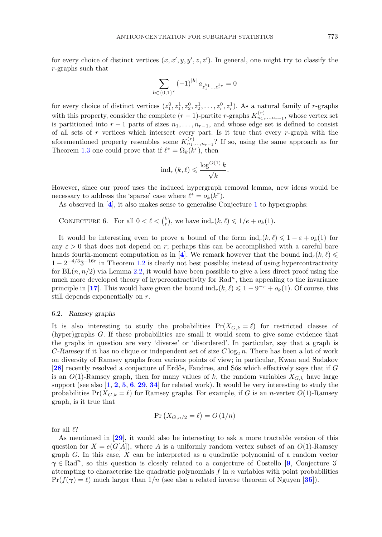for every choice of distinct vertices  $(x, x', y, y', z, z')$ . In general, one might try to classify the r-graphs such that

$$
\sum_{b \in \{0,1\}^r} (-1)^{|b|} a_{z_1^{b_1} \dots z_r^{b_r}} = 0
$$

for every choice of distinct vertices  $(z_1^0, z_1^1, z_2^0, z_2^1, \ldots, z_r^0, z_r^1)$ . As a natural family of r-graphs with this property, consider the complete  $(r - 1)$ -partite r-graphs  $K_{n_1,...,n_{r-1}}^{(r)}$ , whose vertex set is partitioned into  $r-1$  parts of sizes  $n_1,\ldots,n_{r-1}$ , and whose edge set is defined to consist of all sets of  $r$  vertices which intersect every part. Is it true that every  $r$ -graph with the aforementioned property resembles some  $K_{n_1,...,n_{r-1}}^{(r)}$ ? If so, using the same approach as for Theorem [1.3](#page-2-0) one could prove that if  $\ell^* = \Omega_k(k^r)$ , then

$$
\mathrm{ind}_r\left(k,\ell\right)\leqslant \frac{\log^{O(1)} k}{\sqrt{k}}.
$$

However, since our proof uses the induced hypergraph removal lemma, new ideas would be necessary to address the 'sparse' case where  $\ell^* = o_k(k^r)$ .

As observed in [**[4](#page-19-0)**], it also makes sense to generalise Conjecture [1](#page-1-0) to hypergraphs:

CONJECTURE 6. For all  $0 < \ell < {k \choose r}$ , we have  $\text{ind}_r(k, \ell) \leq 1/e + o_k(1)$ .

It would be interesting even to prove a bound of the form  $ind_r(k, \ell) \leq 1 - \varepsilon + o_k(1)$  for any  $\varepsilon > 0$  that does not depend on r; perhaps this can be accomplished with a careful bare hands fourth-moment computation as in [[4](#page-19-0)]. We remark however that the bound  $\text{ind}_r(k, \ell) \leq$  $1-2^{-4/3}3^{-16r}$  in Theorem [1.2](#page-1-0) is clearly not best possible; instead of using hypercontractivity for  $BL(n, n/2)$  via Lemma [2.2,](#page-4-0) it would have been possible to give a less direct proof using the much more developed theory of hypercontractivity for  $Rad<sup>n</sup>$ , then appealing to the invariance principle in [[17](#page-20-0)]. This would have given the bound  $\text{ind}_r(k, \ell) \leq 1 - 9^{-r} + o_k(1)$ . Of course, this still depends exponentially on r.

## 6.2. *Ramsey graphs*

It is also interesting to study the probabilities  $Pr(X_{G,k} = \ell)$  for restricted classes of (hyper)graphs G. If these probabilities are small it would seem to give some evidence that the graphs in question are very 'diverse' or 'disordered'. In particular, say that a graph is  $C$ -Ramsey if it has no clique or independent set of size  $C \log_2 n$ . There has been a lot of work on diversity of Ramsey graphs from various points of view; in particular, Kwan and Sudakov [[28](#page-20-0)] recently resolved a conjecture of Erdős, Faudree, and Sós which effectively says that if G is an  $O(1)$ -Ramsey graph, then for many values of k, the random variables  $X_{G,k}$  have large support (see also [**[1](#page-19-0)**, **[2](#page-19-0)**, **[5](#page-19-0)**, **[6](#page-19-0)**, **[29](#page-20-0)**, **[34](#page-20-0)**] for related work). It would be very interesting to study the probabilities  $Pr(X_{G,k} = \ell)$  for Ramsey graphs. For example, if G is an *n*-vertex  $O(1)$ -Ramsey graph, is it true that

$$
\Pr\left(X_{G,n/2}=\ell\right)=O\left(1/n\right)
$$

for all  $\ell$ ?

As mentioned in [**[29](#page-20-0)**], it would also be interesting to ask a more tractable version of this question for  $X = e(G[A])$ , where A is a uniformly random vertex subset of an  $O(1)$ -Ramsey graph G. In this case,  $X$  can be interpreted as a quadratic polynomial of a random vector  $\gamma \in \text{Rad}^n$ , so this question is closely related to a conjecture of Costello [**[9](#page-19-0)**, Conjecture 3] attempting to characterise the quadratic polynomials  $f$  in  $n$  variables with point probabilities  $Pr(f(\gamma) = \ell)$  much larger than  $1/n$  (see also a related inverse theorem of Nguyen [[35](#page-20-0)]).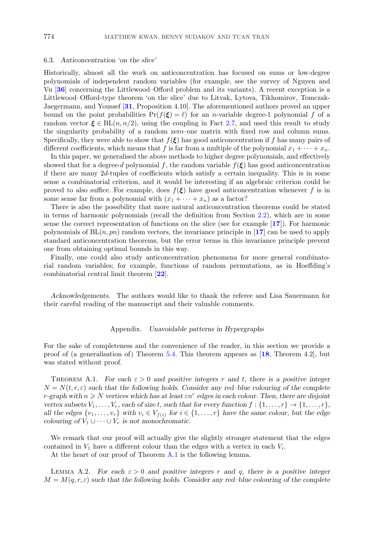#### <span id="page-17-0"></span>6.3. *Anticoncentration 'on the slice'*

Historically, almost all the work on anticoncentration has focused on sums or low-degree polynomials of independent random variables (for example, see the survey of Nguyen and Vu [**[36](#page-20-0)**] concerning the Littlewood–Offord problem and its variants). A recent exception is a Littlewood–Offord-type theorem 'on the slice' due to Litvak, Lytova, Tikhomirov, Tomczak-Jaegermann, and Youssef [**[31](#page-20-0)**, Proposition 4.10]. The aforementioned authors proved an upper bound on the point probabilities  $Pr(f(\xi) = \ell)$  for an *n*-variable degree-1 polynomial f of a random vector  $\xi \in BL(n, n/2)$ , using the coupling in Fact [2.7,](#page-6-0) and used this result to study the singularity probability of a random zero–one matrix with fixed row and column sums. Specifically, they were able to show that  $f(\xi)$  has good anticoncentration if f has many pairs of different coefficients, which means that f is far from a multiple of the polynomial  $x_1 + \cdots + x_n$ .

In this paper, we generalised the above methods to higher degree polynomials, and effectively showed that for a degree-d polynomial f, the random variable  $f(\xi)$  has good anticoncentration if there are many 2d-tuples of coefficients which satisfy a certain inequality. This is in some sense a combinatorial criterion, and it would be interesting if an algebraic criterion could be proved to also suffice. For example, does  $f(\xi)$  have good anticoncentration whenever f is in some sense far from a polynomial with  $(x_1 + \cdots + x_n)$  as a factor?

There is also the possibility that more natural anticoncentration theorems could be stated in terms of harmonic polynomials (recall the definition from Section [2.2\)](#page-4-0), which are in some sense the correct representation of functions on the slice (see for example [**[17](#page-20-0)**]). For harmonic polynomials of  $BL(n, pn)$  random vectors, the invariance principle in  $\mathbf{17}$  $\mathbf{17}$  $\mathbf{17}$  can be used to apply standard anticoncentration theorems, but the error terms in this invariance principle prevent one from obtaining optimal bounds in this way.

Finally, one could also study anticoncentration phenomena for more general combinatorial random variables; for example, functions of random permutations, as in Hoeffding's combinatorial central limit theorem [**[22](#page-20-0)**].

*Acknowledgements.* The authors would like to thank the referee and Lisa Sauermann for their careful reading of the manuscript and their valuable comments.

#### Appendix. *Unavoidable patterns in Hypergraphs*

For the sake of completeness and the convenience of the reader, in this section we provide a proof of (a generalisation of) Theorem [5.4.](#page-14-0) This theorem appears as [**[18](#page-20-0)**, Theorem 4.2], but was stated without proof.

THEOREM A.1. *For each*  $\varepsilon > 0$  *and positive integers* r *and* t, there is a positive integer  $N = N(t, r, \varepsilon)$  *such that the following holds. Consider any red–blue colouring of the complete r*-graph with  $n \geq N$  vertices which has at least  $\epsilon n^r$  edges in each colour. Then, there are disjoint *vertex subsets*  $V_1, \ldots, V_r$ *, each of size t, such that for every function*  $f: \{1, \ldots, r\} \rightarrow \{1, \ldots, r\}$ *, all the edges*  $\{v_1, \ldots, v_r\}$  *with*  $v_i \in V_{f(i)}$  *for*  $i \in \{1, \ldots, r\}$  *have the same colour, but the edge colouring of*  $V_1 \cup \cdots \cup V_r$  *is not monochromatic.* 

We remark that our proof will actually give the slightly stronger statement that the edges contained in  $V_1$  have a different colour than the edges with a vertex in each  $V_i$ .

At the heart of our proof of Theorem A.1 is the following lemma.

LEMMA A.2. *For each*  $\varepsilon > 0$  *and positive integers* r *and* q, there is a positive integer  $M = M(q, r, \varepsilon)$  *such that the following holds. Consider any red–blue colouring of the complete*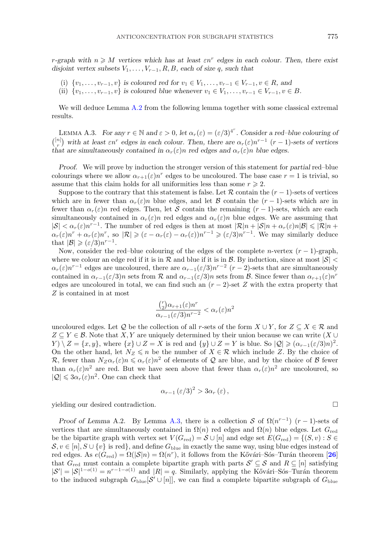*r*-graph with  $n \geq M$  vertices which has at least  $\epsilon n^r$  edges in each colour. Then, there exist *disjoint vertex subsets*  $V_1, \ldots, V_{r-1}, R, B$ *, each of size q, such that* 

- (i)  $\{v_1, \ldots, v_{r-1}, v\}$  *is coloured red for*  $v_1 \in V_1, \ldots, v_{r-1} \in V_{r-1}, v \in R$ *, and*
- (ii)  $\{v_1, \ldots, v_{r-1}, v\}$  *is coloured blue whenever*  $v_1 \in V_1, \ldots, v_{r-1} \in V_{r-1}, v \in B$ .

We will deduce Lemma [A.2](#page-17-0) from the following lemma together with some classical extremal results.

LEMMA A.3. *For any*  $r \in \mathbb{N}$  and  $\varepsilon > 0$ , let  $\alpha_r(\varepsilon) = (\varepsilon/3)^{4^r}$ . Consider a red–blue colouring of  $\binom{[n]}{r}$  with at least  $\epsilon n^r$  edges in each colour. Then, there are  $\alpha_r(\epsilon)n^{r-1}$  (r − 1)-sets of vertices *that are simultaneously contained in*  $\alpha_r(\varepsilon)n$  *red edges and*  $\alpha_r(\varepsilon)n$  *blue edges.* 

*Proof.* We will prove by induction the stronger version of this statement for *partial* red–blue colourings where we allow  $\alpha_{r+1}(\varepsilon)n^r$  edges to be uncoloured. The base case  $r=1$  is trivial, so assume that this claim holds for all uniformities less than some  $r \geq 2$ .

Suppose to the contrary that this statement is false. Let  $\mathcal R$  contain the  $(r-1)$ -sets of vertices which are in fewer than  $\alpha_r(\varepsilon)n$  blue edges, and let B contain the  $(r-1)$ -sets which are in fewer than  $\alpha_r(\varepsilon)n$  red edges. Then, let S contain the remaining  $(r-1)$ -sets, which are each simultaneously contained in  $\alpha_r(\varepsilon)n$  red edges and  $\alpha_r(\varepsilon)n$  blue edges. We are assuming that  $|S| < \alpha_r(\varepsilon) n^{r-1}$ . The number of red edges is then at most  $|\mathcal{R}|n + |\mathcal{S}|n + \alpha_r(\varepsilon) n |\mathcal{B}| \leq |\mathcal{R}|n +$  $\alpha_r(\varepsilon)n^r + \alpha_r(\varepsilon)n^r$ , so  $|\mathcal{R}| \geqslant (\varepsilon - \alpha_r(\varepsilon) - \alpha_r(\varepsilon))n^{r-1} \geqslant (\varepsilon/3)n^{r-1}$ . We may similarly deduce that  $|\mathcal{B}| \geqslant (\varepsilon/3)n^{r-1}$ .

Now, consider the red–blue colouring of the edges of the complete *n*-vertex  $(r - 1)$ -graph, where we colour an edge red if it is in R and blue if it is in B. By induction, since at most  $|\mathcal{S}|$  <  $\alpha_r(\varepsilon)n^{r-1}$  edges are uncoloured, there are  $\alpha_{r-1}(\varepsilon/3)n^{r-2}$  (r – 2)-sets that are simultaneously contained in  $\alpha_{r-1}(\varepsilon/3)n$  sets from  $\mathcal R$  and  $\alpha_{r-1}(\varepsilon/3)n$  sets from  $\mathcal B$ . Since fewer than  $\alpha_{r+1}(\varepsilon)n^r$ edges are uncoloured in total, we can find such an  $(r-2)$ -set Z with the extra property that Z is contained in at most

$$
\frac{\binom{r}{2}\alpha_{r+1}(\varepsilon)n^r}{\alpha_{r-1}(\varepsilon/3)n^{r-2}} < \alpha_r(\varepsilon)n^2
$$

uncoloured edges. Let Q be the collection of all r-sets of the form  $X \cup Y$ , for  $Z \subseteq X \in \mathcal{R}$  and  $Z \subseteq Y \in \mathcal{B}$ . Note that X, Y are uniquely determined by their union because we can write  $(X \cup$  $Y) \setminus Z = \{x, y\}$ , where  $\{x\} \cup Z = X$  is red and  $\{y\} \cup Z = Y$  is blue. So  $|Q| \geqslant (\alpha_{r-1}(\varepsilon/3)n)^2$ . On the other hand, let  $N_Z \leq n$  be the number of  $X \in \mathcal{R}$  which include Z. By the choice of R, fewer than  $N_Z\alpha_r(\varepsilon)n \leq \alpha_r(\varepsilon)n^2$  of elements of Q are blue, and by the choice of B fewer than  $\alpha_r(\varepsilon)n^2$  are red. But we have seen above that fewer than  $\alpha_r(\varepsilon)n^2$  are uncoloured, so  $|Q| \leq 3\alpha_r(\varepsilon)n^2$ . One can check that

$$
\alpha_{r-1} (\varepsilon/3)^2 > 3 \alpha_r (\varepsilon) \,,
$$

yielding our desired contradiction.

*Proof of Lemma A.2.* By Lemma A.3, there is a collection S of  $\Omega(n^{r-1})$  (r – 1)-sets of vertices that are simultaneously contained in  $\Omega(n)$  red edges and  $\Omega(n)$  blue edges. Let  $G_{\text{red}}$ be the bipartite graph with vertex set  $V(G_{\text{red}}) = \mathcal{S} \cup [n]$  and edge set  $E(G_{\text{red}}) = \{(S, v) : S \in$  $\mathcal{S}, v \in [n], S \cup \{v\}$  is red, and define  $G_{\text{blue}}$  in exactly the same way, using blue edges instead of red edges. As  $e(G_{red}) = \Omega(|\mathcal{S}|n) = \Omega(n^r)$ , it follows from the Kővári–Sós–Turán theorem [[26](#page-20-0)] that  $G_{\text{red}}$  must contain a complete bipartite graph with parts  $S' \subseteq S$  and  $R \subseteq [n]$  satisfying  $|S'| = |S|^{1-o(1)} = n^{r-1-o(1)}$  and  $|R| = q$ . Similarly, applying the Kővári–Sós–Turán theorem to the induced subgraph  $G_{blue}[\mathcal{S} \cup [n]]$ , we can find a complete bipartite subgraph of  $G_{blue}$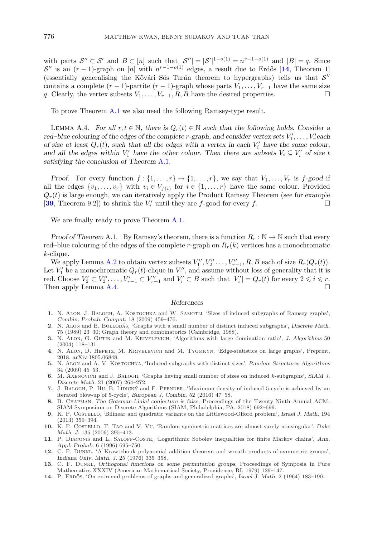<span id="page-19-0"></span>with parts  $\mathcal{S}'' \subset \mathcal{S}'$  and  $B \subset [n]$  such that  $|\mathcal{S}''| = |\mathcal{S}'|^{1-o(1)} = n^{r-1-o(1)}$  and  $|B| = q$ . Since  $\mathcal{S}''$  is an  $(r-1)$ -graph on [n] with  $n^{r-1-o(1)}$  edges, a result due to Erdős [14, Theorem 1] (essentially generalising the Kővári–Sós–Turán theorem to hypergraphs) tells us that  $S''$ contains a complete  $(r-1)$ -partite  $(r-1)$ -graph whose parts  $V_1, \ldots, V_{r-1}$  have the same size q. Clearly, the vertex subsets  $V_1, \ldots, V_{r-1}, R, B$  have the desired properties.

To prove Theorem [A.1](#page-17-0) we also need the following Ramsey-type result.

LEMMA A.4. *For all*  $r, t \in \mathbb{N}$ , there is  $Q_r(t) \in \mathbb{N}$  such that the following holds. Consider a *red–blue colouring of the edges of the complete r-graph, and consider vertex sets*  $V'_1, \ldots, V'_r$  *each of size at least*  $Q_r(t)$ , such that all the edges with a vertex in each  $V_i'$  have the same colour, and all the edges within  $V'_1$  have the other colour. Then there are subsets  $V_i \subseteq V'_i$  of size t *satisfying the conclusion of Theorem* [A.1](#page-17-0)*.*

*Proof.* For every function  $f: \{1, \ldots, r\} \rightarrow \{1, \ldots, r\}$ , we say that  $V_1, \ldots, V_r$  is f-good if all the edges  $\{v_1,\ldots,v_r\}$  with  $v_i \in V_{f(i)}$  for  $i \in \{1,\ldots,r\}$  have the same colour. Provided  $Q_r(t)$  is large enough, we can iteratively apply the Product Ramsey Theorem (see for example [[39](#page-20-0), Theorem 9.2]) to shrink the  $V_i'$  until they are f-good for every f.

We are finally ready to prove Theorem [A.1.](#page-17-0)

*Proof of Theorem* A.1. By Ramsey's theorem, there is a function  $R_r : \mathbb{N} \to \mathbb{N}$  such that every red–blue colouring of the edges of the complete r-graph on  $R_r(k)$  vertices has a monochromatic k-clique.

We apply Lemma [A.2](#page-17-0) to obtain vertex subsets  $V''_1, V''_2, \ldots, V''_{r-1}, R, B$  each of size  $R_r(Q_r(t))$ . Let  $V_1'$  be a monochromatic  $Q_r(t)$ -clique in  $V_1''$ , and assume without loss of generality that it is red. Choose  $V_2' \subset V_2'', \ldots, V_{r-1}' \subset V_{r-1}''$  and  $V_r' \subset B$  such that  $|V_i'| = Q_r(t)$  for every  $2 \leq i \leq r$ . Then apply Lemma A.4.  $\Box$ 

## *References*

- **1.** N. Alon, J. Balogh, A. Kostochka and W. Samotij, 'Sizes of induced subgraphs of Ramsey graphs', *Combin. Probab. Comput.* 18 (2009) 459–476.
- 2. N. ALON and B. BOLLOBAS, 'Graphs with a small number of distinct induced subgraphs', *Discrete Math.* 75 (1989) 23–30; Graph theory and combinatorics (Cambridge, 1988).
- **3.** N. Alon, G. Gutin and M. Krivelevich, 'Algorithms with large domination ratio', *J. Algorithms* 50 (2004) 118–131.
- **4.** N. Alon, D. Hefetz, M. Krivelevich and M. Tyomkyn, 'Edge-statistics on large graphs', Preprint, 2018, arXiv:1805.06848.
- **5.** N. Alon and A. V. Kostochka, 'Induced subgraphs with distinct sizes', *Random Structures Algorithms* 34 (2009) 45–53.
- **6.** M. Axenovich and J. Balogh, 'Graphs having small number of sizes on induced k-subgraphs', *SIAM J. Discrete Math.* 21 (2007) 264–272.
- **7.** J. BALOGH, P. HU, B. LIDICKÝ and F. PFENDER, 'Maximum density of induced 5-cycle is achieved by an iterated blow-up of 5-cycle', *European J. Combin.* 52 (2016) 47–58.
- **8.** B. Chapman, *The Gotsman-Linial conjecture is false*, Proceedings of the Twenty-Ninth Annual ACM-SIAM Symposium on Discrete Algorithms (SIAM, Philadelphia, PA, 2018) 692–699.
- **9.** K. P. Costello, 'Bilinear and quadratic variants on the Littlewood-Offord problem', *Israel J. Math.* 194 (2013) 359–394.
- **10.** K. P. Costello, T. Tao and V. Vu, 'Random symmetric matrices are almost surely nonsingular', *Duke Math. J.* 135 (2006) 395–413.
- **11.** P. Diaconis and L. Saloff-Coste, 'Logarithmic Sobolev inequalities for finite Markov chains', *Ann. Appl. Probab.* 6 (1996) 695–750.
- **12.** C. F. Dunkl, 'A Krawtchouk polynomial addition theorem and wreath products of symmetric groups', *Indiana Univ. Math. J.* 25 (1976) 335–358.
- **13.** C. F. Dunkl, *Orthogonal functions on some permutation groups*, Proceedings of Symposia in Pure Mathematics XXXIV (American Mathematical Society, Providence, RI, 1979) 129–147.
- **14.** P. Erdos˝ , 'On extremal problems of graphs and generalized graphs', *Israel J. Math.* 2 (1964) 183–190.